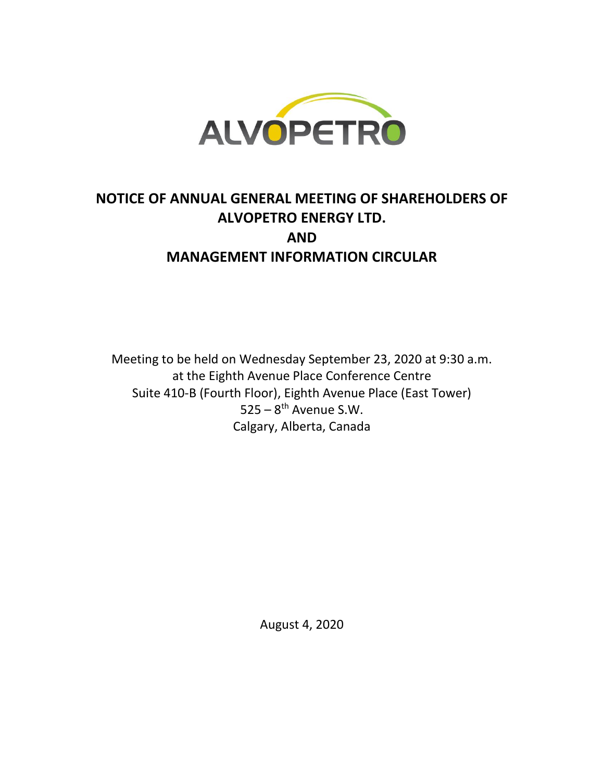

# **NOTICE OF ANNUAL GENERAL MEETING OF SHAREHOLDERS OF ALVOPETRO ENERGY LTD. AND MANAGEMENT INFORMATION CIRCULAR**

Meeting to be held on Wednesday September 23, 2020 at 9:30 a.m. at the Eighth Avenue Place Conference Centre Suite 410-B (Fourth Floor), Eighth Avenue Place (East Tower)  $525 - 8$ <sup>th</sup> Avenue S.W. Calgary, Alberta, Canada

August 4, 2020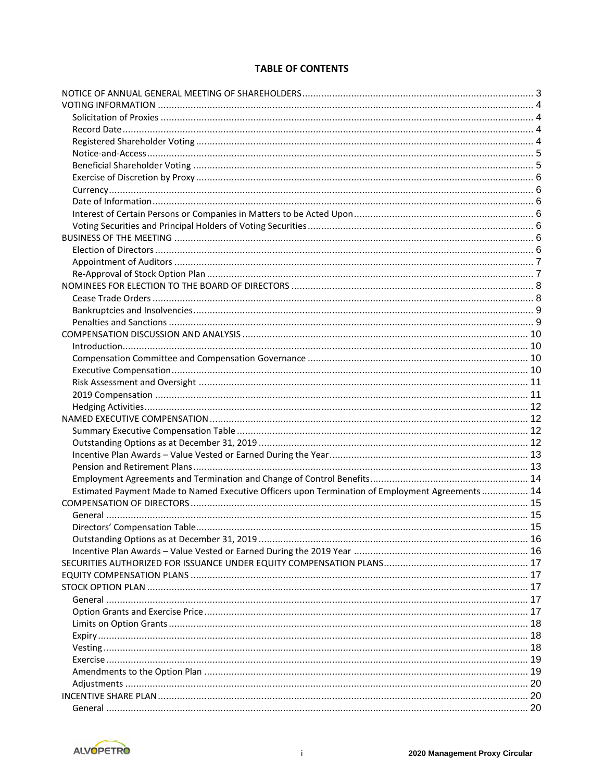# **TABLE OF CONTENTS**

| Estimated Payment Made to Named Executive Officers upon Termination of Employment Agreements  14 |  |
|--------------------------------------------------------------------------------------------------|--|
|                                                                                                  |  |
|                                                                                                  |  |
| Directors' Compensation Table.                                                                   |  |
|                                                                                                  |  |
|                                                                                                  |  |
|                                                                                                  |  |
|                                                                                                  |  |
|                                                                                                  |  |
|                                                                                                  |  |
|                                                                                                  |  |
|                                                                                                  |  |
|                                                                                                  |  |
|                                                                                                  |  |
|                                                                                                  |  |
|                                                                                                  |  |
|                                                                                                  |  |
|                                                                                                  |  |
|                                                                                                  |  |
|                                                                                                  |  |

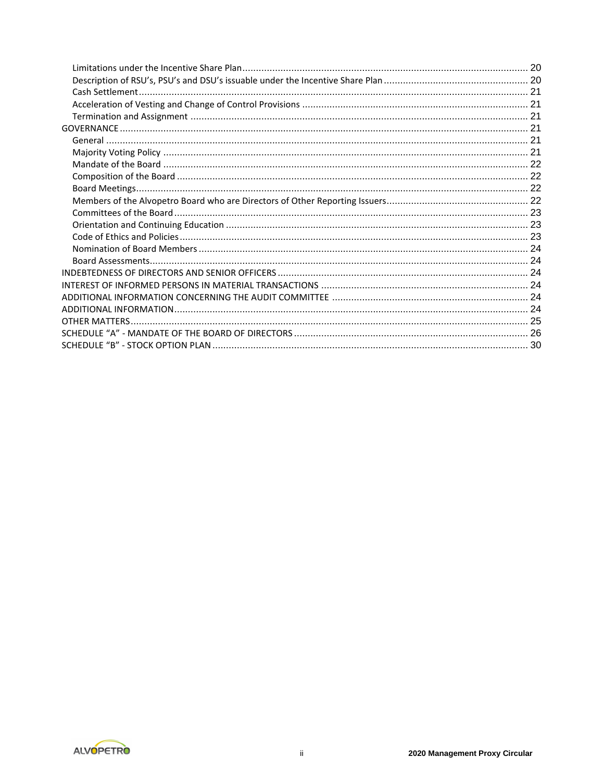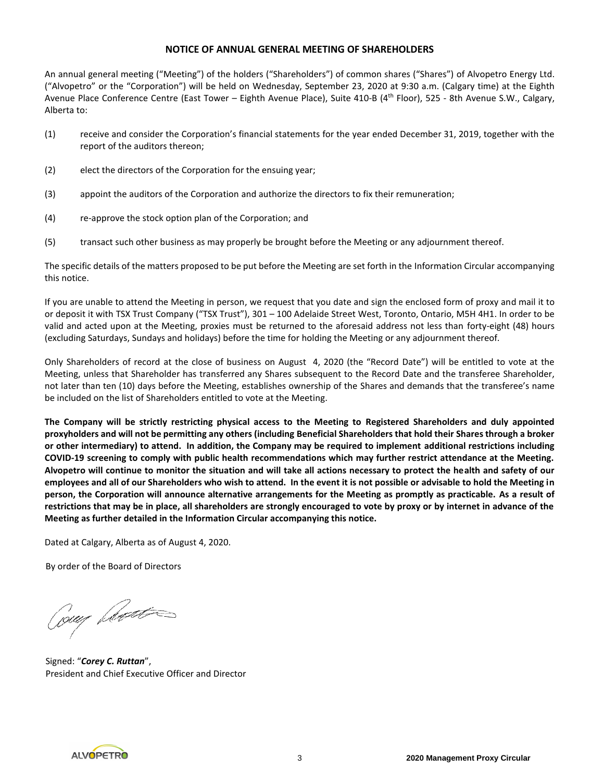#### **NOTICE OF ANNUAL GENERAL MEETING OF SHAREHOLDERS**

An annual general meeting ("Meeting") of the holders ("Shareholders") of common shares ("Shares") of Alvopetro Energy Ltd. ("Alvopetro" or the "Corporation") will be held on Wednesday, September 23, 2020 at 9:30 a.m. (Calgary time) at the Eighth Avenue Place Conference Centre (East Tower – Eighth Avenue Place), Suite 410-B (4th Floor), 525 - 8th Avenue S.W., Calgary, Alberta to:

- (1) receive and consider the Corporation's financial statements for the year ended December 31, 2019, together with the report of the auditors thereon;
- (2) elect the directors of the Corporation for the ensuing year;
- (3) appoint the auditors of the Corporation and authorize the directors to fix their remuneration;
- (4) re-approve the stock option plan of the Corporation; and
- (5) transact such other business as may properly be brought before the Meeting or any adjournment thereof.

The specific details of the matters proposed to be put before the Meeting are set forth in the Information Circular accompanying this notice.

If you are unable to attend the Meeting in person, we request that you date and sign the enclosed form of proxy and mail it to or deposit it with TSX Trust Company ("TSX Trust"), 301 – 100 Adelaide Street West, Toronto, Ontario, M5H 4H1. In order to be valid and acted upon at the Meeting, proxies must be returned to the aforesaid address not less than forty-eight (48) hours (excluding Saturdays, Sundays and holidays) before the time for holding the Meeting or any adjournment thereof.

Only Shareholders of record at the close of business on August 4, 2020 (the "Record Date") will be entitled to vote at the Meeting, unless that Shareholder has transferred any Shares subsequent to the Record Date and the transferee Shareholder, not later than ten (10) days before the Meeting, establishes ownership of the Shares and demands that the transferee's name be included on the list of Shareholders entitled to vote at the Meeting.

**The Company will be strictly restricting physical access to the Meeting to Registered Shareholders and duly appointed proxyholders and will not be permitting any others (including Beneficial Shareholders that hold their Shares through a broker or other intermediary) to attend. In addition, the Company may be required to implement additional restrictions including COVID-19 screening to comply with public health recommendations which may further restrict attendance at the Meeting. Alvopetro will continue to monitor the situation and will take all actions necessary to protect the health and safety of our employees and all of our Shareholders who wish to attend. In the event it is not possible or advisable to hold the Meeting in person, the Corporation will announce alternative arrangements for the Meeting as promptly as practicable. As a result of restrictions that may be in place, all shareholders are strongly encouraged to vote by proxy or by internet in advance of the Meeting as further detailed in the Information Circular accompanying this notice.**

Dated at Calgary, Alberta as of August 4, 2020.

By order of the Board of Directors

Coup plant

Signed: "*Corey C. Ruttan*", President and Chief Executive Officer and Director

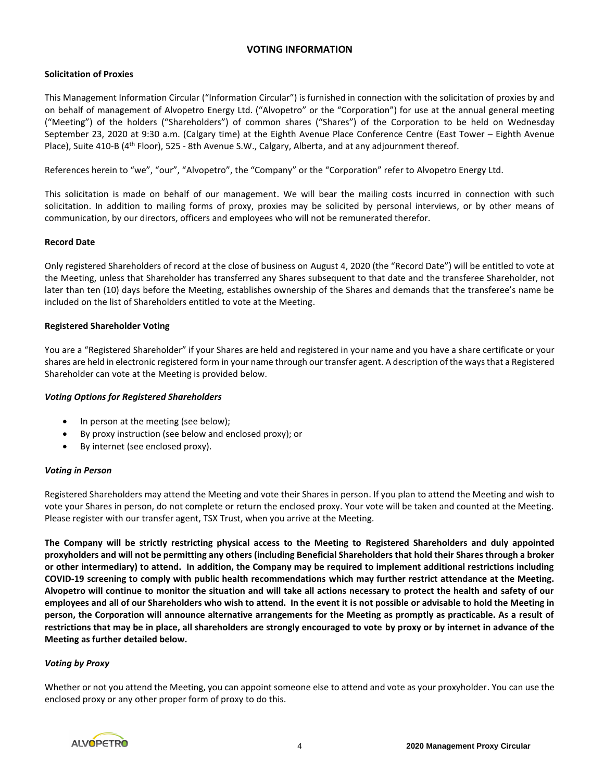# **VOTING INFORMATION**

# **Solicitation of Proxies**

This Management Information Circular ("Information Circular") is furnished in connection with the solicitation of proxies by and on behalf of management of Alvopetro Energy Ltd. ("Alvopetro" or the "Corporation") for use at the annual general meeting ("Meeting") of the holders ("Shareholders") of common shares ("Shares") of the Corporation to be held on Wednesday September 23, 2020 at 9:30 a.m. (Calgary time) at the Eighth Avenue Place Conference Centre (East Tower – Eighth Avenue Place), Suite 410-B (4<sup>th</sup> Floor), 525 - 8th Avenue S.W., Calgary, Alberta, and at any adjournment thereof.

References herein to "we", "our", "Alvopetro", the "Company" or the "Corporation" refer to Alvopetro Energy Ltd.

This solicitation is made on behalf of our management. We will bear the mailing costs incurred in connection with such solicitation. In addition to mailing forms of proxy, proxies may be solicited by personal interviews, or by other means of communication, by our directors, officers and employees who will not be remunerated therefor.

# **Record Date**

Only registered Shareholders of record at the close of business on August 4, 2020 (the "Record Date") will be entitled to vote at the Meeting, unless that Shareholder has transferred any Shares subsequent to that date and the transferee Shareholder, not later than ten (10) days before the Meeting, establishes ownership of the Shares and demands that the transferee's name be included on the list of Shareholders entitled to vote at the Meeting.

# **Registered Shareholder Voting**

You are a "Registered Shareholder" if your Shares are held and registered in your name and you have a share certificate or your shares are held in electronic registered form in your name through our transfer agent. A description of the ways that a Registered Shareholder can vote at the Meeting is provided below.

# *Voting Options for Registered Shareholders*

- In person at the meeting (see below);
- By proxy instruction (see below and enclosed proxy); or
- By internet (see enclosed proxy).

# *Voting in Person*

Registered Shareholders may attend the Meeting and vote their Shares in person. If you plan to attend the Meeting and wish to vote your Shares in person, do not complete or return the enclosed proxy. Your vote will be taken and counted at the Meeting. Please register with our transfer agent, TSX Trust, when you arrive at the Meeting.

**The Company will be strictly restricting physical access to the Meeting to Registered Shareholders and duly appointed proxyholders and will not be permitting any others (including Beneficial Shareholders that hold their Shares through a broker or other intermediary) to attend. In addition, the Company may be required to implement additional restrictions including COVID-19 screening to comply with public health recommendations which may further restrict attendance at the Meeting. Alvopetro will continue to monitor the situation and will take all actions necessary to protect the health and safety of our employees and all of our Shareholders who wish to attend. In the event it is not possible or advisable to hold the Meeting in person, the Corporation will announce alternative arrangements for the Meeting as promptly as practicable. As a result of restrictions that may be in place, all shareholders are strongly encouraged to vote by proxy or by internet in advance of the Meeting as further detailed below.**

# *Voting by Proxy*

Whether or not you attend the Meeting, you can appoint someone else to attend and vote as your proxyholder. You can use the enclosed proxy or any other proper form of proxy to do this.

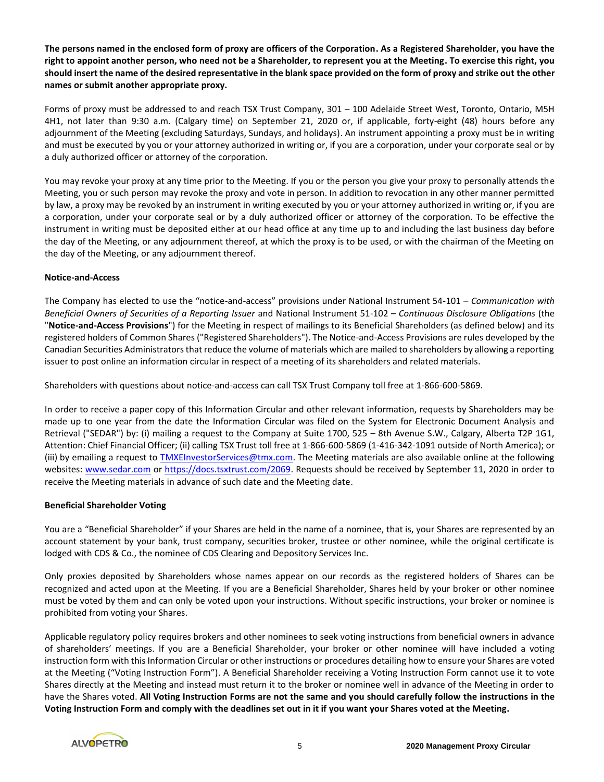**The persons named in the enclosed form of proxy are officers of the Corporation. As a Registered Shareholder, you have the right to appoint another person, who need not be a Shareholder, to represent you at the Meeting. To exercise this right, you should insert the name of the desired representative in the blank space provided on the form of proxy and strike out the other names or submit another appropriate proxy.**

Forms of proxy must be addressed to and reach TSX Trust Company, 301 – 100 Adelaide Street West, Toronto, Ontario, M5H 4H1, not later than 9:30 a.m. (Calgary time) on September 21, 2020 or, if applicable, forty-eight (48) hours before any adjournment of the Meeting (excluding Saturdays, Sundays, and holidays). An instrument appointing a proxy must be in writing and must be executed by you or your attorney authorized in writing or, if you are a corporation, under your corporate seal or by a duly authorized officer or attorney of the corporation.

You may revoke your proxy at any time prior to the Meeting. If you or the person you give your proxy to personally attends the Meeting, you or such person may revoke the proxy and vote in person. In addition to revocation in any other manner permitted by law, a proxy may be revoked by an instrument in writing executed by you or your attorney authorized in writing or, if you are a corporation, under your corporate seal or by a duly authorized officer or attorney of the corporation. To be effective the instrument in writing must be deposited either at our head office at any time up to and including the last business day before the day of the Meeting, or any adjournment thereof, at which the proxy is to be used, or with the chairman of the Meeting on the day of the Meeting, or any adjournment thereof.

# **Notice-and-Access**

The Company has elected to use the "notice-and-access" provisions under National Instrument 54-101 – *Communication with Beneficial Owners of Securities of a Reporting Issuer* and National Instrument 51-102 – *Continuous Disclosure Obligations* (the "**Notice-and-Access Provisions**") for the Meeting in respect of mailings to its Beneficial Shareholders (as defined below) and its registered holders of Common Shares ("Registered Shareholders"). The Notice-and-Access Provisions are rules developed by the Canadian Securities Administrators that reduce the volume of materials which are mailed to shareholders by allowing a reporting issuer to post online an information circular in respect of a meeting of its shareholders and related materials.

Shareholders with questions about notice-and-access can call TSX Trust Company toll free at 1-866-600-5869.

In order to receive a paper copy of this Information Circular and other relevant information, requests by Shareholders may be made up to one year from the date the Information Circular was filed on the System for Electronic Document Analysis and Retrieval ("SEDAR") by: (i) mailing a request to the Company at Suite 1700, 525 – 8th Avenue S.W., Calgary, Alberta T2P 1G1, Attention: Chief Financial Officer; (ii) calling TSX Trust toll free at 1-866-600-5869 (1-416-342-1091 outside of North America); or (iii) by emailing a request to [TMXEInvestorServices@tmx.com.](mailto:TMXEInvestorServices@tmx.com) The Meeting materials are also available online at the following websites: [www.sedar.com](http://www.sedar.com/) or [https://docs.tsxtrust.com/2069.](https://docs.tsxtrust.com/2069) Requests should be received by September 11, 2020 in order to receive the Meeting materials in advance of such date and the Meeting date.

# **Beneficial Shareholder Voting**

You are a "Beneficial Shareholder" if your Shares are held in the name of a nominee, that is, your Shares are represented by an account statement by your bank, trust company, securities broker, trustee or other nominee, while the original certificate is lodged with CDS & Co., the nominee of CDS Clearing and Depository Services Inc.

Only proxies deposited by Shareholders whose names appear on our records as the registered holders of Shares can be recognized and acted upon at the Meeting. If you are a Beneficial Shareholder, Shares held by your broker or other nominee must be voted by them and can only be voted upon your instructions. Without specific instructions, your broker or nominee is prohibited from voting your Shares.

Applicable regulatory policy requires brokers and other nominees to seek voting instructions from beneficial owners in advance of shareholders' meetings. If you are a Beneficial Shareholder, your broker or other nominee will have included a voting instruction form with this Information Circular or other instructions or procedures detailing how to ensure your Shares are voted at the Meeting ("Voting Instruction Form"). A Beneficial Shareholder receiving a Voting Instruction Form cannot use it to vote Shares directly at the Meeting and instead must return it to the broker or nominee well in advance of the Meeting in order to have the Shares voted. **All Voting Instruction Forms are not the same and you should carefully follow the instructions in the Voting Instruction Form and comply with the deadlines set out in it if you want your Shares voted at the Meeting.** 

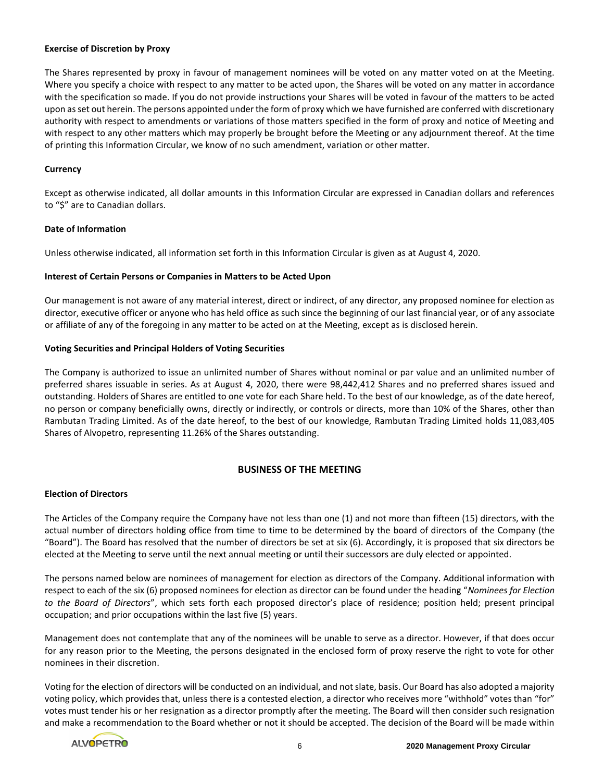## **Exercise of Discretion by Proxy**

The Shares represented by proxy in favour of management nominees will be voted on any matter voted on at the Meeting. Where you specify a choice with respect to any matter to be acted upon, the Shares will be voted on any matter in accordance with the specification so made. If you do not provide instructions your Shares will be voted in favour of the matters to be acted upon as set out herein. The persons appointed under the form of proxy which we have furnished are conferred with discretionary authority with respect to amendments or variations of those matters specified in the form of proxy and notice of Meeting and with respect to any other matters which may properly be brought before the Meeting or any adjournment thereof. At the time of printing this Information Circular, we know of no such amendment, variation or other matter.

#### **Currency**

Except as otherwise indicated, all dollar amounts in this Information Circular are expressed in Canadian dollars and references to "\$" are to Canadian dollars.

#### **Date of Information**

Unless otherwise indicated, all information set forth in this Information Circular is given as at August 4, 2020.

## **Interest of Certain Persons or Companies in Matters to be Acted Upon**

Our management is not aware of any material interest, direct or indirect, of any director, any proposed nominee for election as director, executive officer or anyone who has held office as such since the beginning of our last financial year, or of any associate or affiliate of any of the foregoing in any matter to be acted on at the Meeting, except as is disclosed herein.

## **Voting Securities and Principal Holders of Voting Securities**

The Company is authorized to issue an unlimited number of Shares without nominal or par value and an unlimited number of preferred shares issuable in series. As at August 4, 2020, there were 98,442,412 Shares and no preferred shares issued and outstanding. Holders of Shares are entitled to one vote for each Share held. To the best of our knowledge, as of the date hereof, no person or company beneficially owns, directly or indirectly, or controls or directs, more than 10% of the Shares, other than Rambutan Trading Limited. As of the date hereof, to the best of our knowledge, Rambutan Trading Limited holds 11,083,405 Shares of Alvopetro, representing 11.26% of the Shares outstanding.

# **BUSINESS OF THE MEETING**

## **Election of Directors**

The Articles of the Company require the Company have not less than one (1) and not more than fifteen (15) directors, with the actual number of directors holding office from time to time to be determined by the board of directors of the Company (the "Board"). The Board has resolved that the number of directors be set at six (6). Accordingly, it is proposed that six directors be elected at the Meeting to serve until the next annual meeting or until their successors are duly elected or appointed.

The persons named below are nominees of management for election as directors of the Company. Additional information with respect to each of the six (6) proposed nominees for election as director can be found under the heading "*Nominees for Election to the Board of Directors*", which sets forth each proposed director's place of residence; position held; present principal occupation; and prior occupations within the last five (5) years.

Management does not contemplate that any of the nominees will be unable to serve as a director. However, if that does occur for any reason prior to the Meeting, the persons designated in the enclosed form of proxy reserve the right to vote for other nominees in their discretion.

Voting for the election of directors will be conducted on an individual, and not slate, basis. Our Board has also adopted a majority voting policy, which provides that, unless there is a contested election, a director who receives more "withhold" votes than "for" votes must tender his or her resignation as a director promptly after the meeting. The Board will then consider such resignation and make a recommendation to the Board whether or not it should be accepted. The decision of the Board will be made within

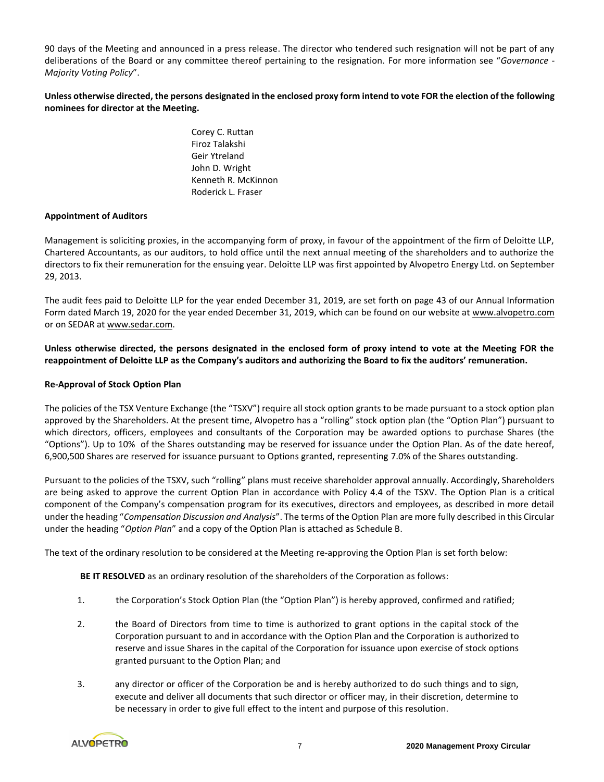90 days of the Meeting and announced in a press release. The director who tendered such resignation will not be part of any deliberations of the Board or any committee thereof pertaining to the resignation. For more information see "*Governance - Majority Voting Policy*".

# **Unless otherwise directed, the persons designated in the enclosed proxy form intend to vote FOR the election of the following nominees for director at the Meeting.**

Corey C. Ruttan Firoz Talakshi Geir Ytreland John D. Wright Kenneth R. McKinnon Roderick L. Fraser

## **Appointment of Auditors**

Management is soliciting proxies, in the accompanying form of proxy, in favour of the appointment of the firm of Deloitte LLP, Chartered Accountants, as our auditors, to hold office until the next annual meeting of the shareholders and to authorize the directors to fix their remuneration for the ensuing year. Deloitte LLP was first appointed by Alvopetro Energy Ltd. on September 29, 2013.

The audit fees paid to Deloitte LLP for the year ended December 31, 2019, are set forth on page 43 of our Annual Information Form dated March 19, 2020 for the year ended December 31, 2019, which can be found on our website at www.alvopetro.com or on SEDAR at www.sedar.com.

**Unless otherwise directed, the persons designated in the enclosed form of proxy intend to vote at the Meeting FOR the reappointment of Deloitte LLP as the Company's auditors and authorizing the Board to fix the auditors' remuneration.**

## **Re-Approval of Stock Option Plan**

The policies of the TSX Venture Exchange (the "TSXV") require all stock option grants to be made pursuant to a stock option plan approved by the Shareholders. At the present time, Alvopetro has a "rolling" stock option plan (the "Option Plan") pursuant to which directors, officers, employees and consultants of the Corporation may be awarded options to purchase Shares (the "Options"). Up to 10% of the Shares outstanding may be reserved for issuance under the Option Plan. As of the date hereof, 6,900,500 Shares are reserved for issuance pursuant to Options granted, representing 7.0% of the Shares outstanding.

Pursuant to the policies of the TSXV, such "rolling" plans must receive shareholder approval annually. Accordingly, Shareholders are being asked to approve the current Option Plan in accordance with Policy 4.4 of the TSXV. The Option Plan is a critical component of the Company's compensation program for its executives, directors and employees, as described in more detail under the heading "*Compensation Discussion and Analysis*". The terms of the Option Plan are more fully described in this Circular under the heading "*Option Plan*" and a copy of the Option Plan is attached as Schedule B.

The text of the ordinary resolution to be considered at the Meeting re-approving the Option Plan is set forth below:

**BE IT RESOLVED** as an ordinary resolution of the shareholders of the Corporation as follows:

- 1. the Corporation's Stock Option Plan (the "Option Plan") is hereby approved, confirmed and ratified;
- 2. the Board of Directors from time to time is authorized to grant options in the capital stock of the Corporation pursuant to and in accordance with the Option Plan and the Corporation is authorized to reserve and issue Shares in the capital of the Corporation for issuance upon exercise of stock options granted pursuant to the Option Plan; and
- 3. any director or officer of the Corporation be and is hereby authorized to do such things and to sign, execute and deliver all documents that such director or officer may, in their discretion, determine to be necessary in order to give full effect to the intent and purpose of this resolution.

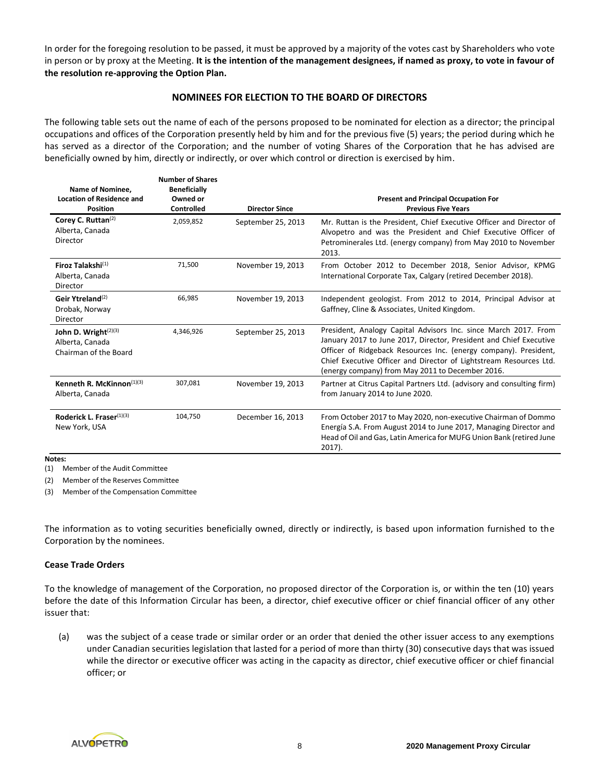In order for the foregoing resolution to be passed, it must be approved by a majority of the votes cast by Shareholders who vote in person or by proxy at the Meeting. **It is the intention of the management designees, if named as proxy, to vote in favour of the resolution re-approving the Option Plan.**

# **NOMINEES FOR ELECTION TO THE BOARD OF DIRECTORS**

The following table sets out the name of each of the persons proposed to be nominated for election as a director; the principal occupations and offices of the Corporation presently held by him and for the previous five (5) years; the period during which he has served as a director of the Corporation; and the number of voting Shares of the Corporation that he has advised are beneficially owned by him, directly or indirectly, or over which control or direction is exercised by him.

| Name of Nominee,<br><b>Location of Residence and</b><br><b>Position</b> | <b>Number of Shares</b><br><b>Beneficially</b><br>Owned or<br>Controlled | <b>Director Since</b> | <b>Present and Principal Occupation For</b><br><b>Previous Five Years</b>                                                                                                                                                                                                                                                           |
|-------------------------------------------------------------------------|--------------------------------------------------------------------------|-----------------------|-------------------------------------------------------------------------------------------------------------------------------------------------------------------------------------------------------------------------------------------------------------------------------------------------------------------------------------|
| Corey C. Ruttan <sup>(2)</sup><br>Alberta, Canada<br>Director           | 2,059,852                                                                | September 25, 2013    | Mr. Ruttan is the President, Chief Executive Officer and Director of<br>Alvopetro and was the President and Chief Executive Officer of<br>Petrominerales Ltd. (energy company) from May 2010 to November<br>2013.                                                                                                                   |
| Firoz Talakshi <sup>(1)</sup><br>Alberta, Canada<br>Director            | 71,500                                                                   | November 19, 2013     | From October 2012 to December 2018, Senior Advisor, KPMG<br>International Corporate Tax, Calgary (retired December 2018).                                                                                                                                                                                                           |
| Geir Ytreland <sup>(2)</sup><br>Drobak, Norway<br>Director              | 66,985                                                                   | November 19, 2013     | Independent geologist. From 2012 to 2014, Principal Advisor at<br>Gaffney, Cline & Associates, United Kingdom.                                                                                                                                                                                                                      |
| John D. Wright $(2)(3)$<br>Alberta, Canada<br>Chairman of the Board     | 4.346.926                                                                | September 25, 2013    | President, Analogy Capital Advisors Inc. since March 2017. From<br>January 2017 to June 2017, Director, President and Chief Executive<br>Officer of Ridgeback Resources Inc. (energy company). President,<br>Chief Executive Officer and Director of Lightstream Resources Ltd.<br>(energy company) from May 2011 to December 2016. |
| Kenneth R. McKinnon $(1)(3)$<br>Alberta, Canada                         | 307,081                                                                  | November 19, 2013     | Partner at Citrus Capital Partners Ltd. (advisory and consulting firm)<br>from January 2014 to June 2020.                                                                                                                                                                                                                           |
| Roderick L. Fraser $(1)(3)$<br>New York, USA                            | 104,750                                                                  | December 16, 2013     | From October 2017 to May 2020, non-executive Chairman of Dommo<br>Energía S.A. From August 2014 to June 2017, Managing Director and<br>Head of Oil and Gas, Latin America for MUFG Union Bank (retired June<br>$2017$ ).                                                                                                            |

**Notes:**

(1) Member of the Audit Committee

(2) Member of the Reserves Committee

(3) Member of the Compensation Committee

The information as to voting securities beneficially owned, directly or indirectly, is based upon information furnished to the Corporation by the nominees.

#### **Cease Trade Orders**

To the knowledge of management of the Corporation, no proposed director of the Corporation is, or within the ten (10) years before the date of this Information Circular has been, a director, chief executive officer or chief financial officer of any other issuer that:

(a) was the subject of a cease trade or similar order or an order that denied the other issuer access to any exemptions under Canadian securities legislation that lasted for a period of more than thirty (30) consecutive days that was issued while the director or executive officer was acting in the capacity as director, chief executive officer or chief financial officer; or

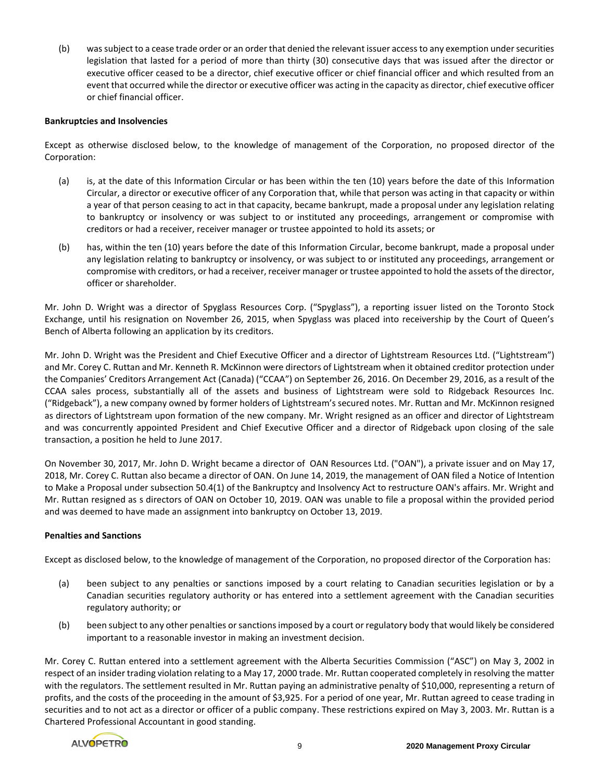(b) was subject to a cease trade order or an order that denied the relevant issuer access to any exemption under securities legislation that lasted for a period of more than thirty (30) consecutive days that was issued after the director or executive officer ceased to be a director, chief executive officer or chief financial officer and which resulted from an event that occurred while the director or executive officer was acting in the capacity as director, chief executive officer or chief financial officer.

# **Bankruptcies and Insolvencies**

Except as otherwise disclosed below, to the knowledge of management of the Corporation, no proposed director of the Corporation:

- (a) is, at the date of this Information Circular or has been within the ten (10) years before the date of this Information Circular, a director or executive officer of any Corporation that, while that person was acting in that capacity or within a year of that person ceasing to act in that capacity, became bankrupt, made a proposal under any legislation relating to bankruptcy or insolvency or was subject to or instituted any proceedings, arrangement or compromise with creditors or had a receiver, receiver manager or trustee appointed to hold its assets; or
- (b) has, within the ten (10) years before the date of this Information Circular, become bankrupt, made a proposal under any legislation relating to bankruptcy or insolvency, or was subject to or instituted any proceedings, arrangement or compromise with creditors, or had a receiver, receiver manager or trustee appointed to hold the assets of the director, officer or shareholder.

Mr. John D. Wright was a director of Spyglass Resources Corp. ("Spyglass"), a reporting issuer listed on the Toronto Stock Exchange, until his resignation on November 26, 2015, when Spyglass was placed into receivership by the Court of Queen's Bench of Alberta following an application by its creditors.

Mr. John D. Wright was the President and Chief Executive Officer and a director of Lightstream Resources Ltd. ("Lightstream") and Mr. Corey C. Ruttan and Mr. Kenneth R. McKinnon were directors of Lightstream when it obtained creditor protection under the Companies' Creditors Arrangement Act (Canada) ("CCAA") on September 26, 2016. On December 29, 2016, as a result of the CCAA sales process, substantially all of the assets and business of Lightstream were sold to Ridgeback Resources Inc. ("Ridgeback"), a new company owned by former holders of Lightstream's secured notes. Mr. Ruttan and Mr. McKinnon resigned as directors of Lightstream upon formation of the new company. Mr. Wright resigned as an officer and director of Lightstream and was concurrently appointed President and Chief Executive Officer and a director of Ridgeback upon closing of the sale transaction, a position he held to June 2017.

On November 30, 2017, Mr. John D. Wright became a director of OAN Resources Ltd. ("OAN"), a private issuer and on May 17, 2018, Mr. Corey C. Ruttan also became a director of OAN. On June 14, 2019, the management of OAN filed a Notice of Intention to Make a Proposal under subsection 50.4(1) of the Bankruptcy and Insolvency Act to restructure OAN's affairs. Mr. Wright and Mr. Ruttan resigned as s directors of OAN on October 10, 2019. OAN was unable to file a proposal within the provided period and was deemed to have made an assignment into bankruptcy on October 13, 2019.

# **Penalties and Sanctions**

Except as disclosed below, to the knowledge of management of the Corporation, no proposed director of the Corporation has:

- (a) been subject to any penalties or sanctions imposed by a court relating to Canadian securities legislation or by a Canadian securities regulatory authority or has entered into a settlement agreement with the Canadian securities regulatory authority; or
- (b) been subject to any other penalties or sanctions imposed by a court or regulatory body that would likely be considered important to a reasonable investor in making an investment decision.

Mr. Corey C. Ruttan entered into a settlement agreement with the Alberta Securities Commission ("ASC") on May 3, 2002 in respect of an insider trading violation relating to a May 17, 2000 trade. Mr. Ruttan cooperated completely in resolving the matter with the regulators. The settlement resulted in Mr. Ruttan paying an administrative penalty of \$10,000, representing a return of profits, and the costs of the proceeding in the amount of \$3,925. For a period of one year, Mr. Ruttan agreed to cease trading in securities and to not act as a director or officer of a public company. These restrictions expired on May 3, 2003. Mr. Ruttan is a Chartered Professional Accountant in good standing.

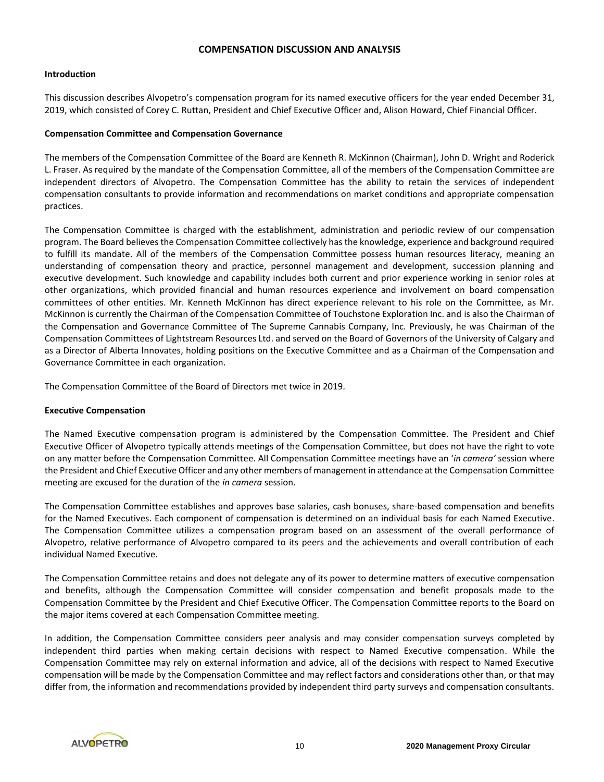#### **COMPENSATION DISCUSSION AND ANALYSIS**

#### **Introduction**

This discussion describes Alvopetro's compensation program for its named executive officers for the year ended December 31, 2019, which consisted of Corey C. Ruttan, President and Chief Executive Officer and, Alison Howard, Chief Financial Officer.

## **Compensation Committee and Compensation Governance**

The members of the Compensation Committee of the Board are Kenneth R. McKinnon (Chairman), John D. Wright and Roderick L. Fraser. As required by the mandate of the Compensation Committee, all of the members of the Compensation Committee are independent directors of Alvopetro. The Compensation Committee has the ability to retain the services of independent compensation consultants to provide information and recommendations on market conditions and appropriate compensation practices.

The Compensation Committee is charged with the establishment, administration and periodic review of our compensation program. The Board believes the Compensation Committee collectively has the knowledge, experience and background required to fulfill its mandate. All of the members of the Compensation Committee possess human resources literacy, meaning an understanding of compensation theory and practice, personnel management and development, succession planning and executive development. Such knowledge and capability includes both current and prior experience working in senior roles at other organizations, which provided financial and human resources experience and involvement on board compensation committees of other entities. Mr. Kenneth McKinnon has direct experience relevant to his role on the Committee, as Mr. McKinnon is currently the Chairman of the Compensation Committee of Touchstone Exploration Inc. and is also the Chairman of the Compensation and Governance Committee of The Supreme Cannabis Company, Inc. Previously, he was Chairman of the Compensation Committees of Lightstream Resources Ltd. and served on the Board of Governors of the University of Calgary and as a Director of Alberta Innovates, holding positions on the Executive Committee and as a Chairman of the Compensation and Governance Committee in each organization.

The Compensation Committee of the Board of Directors met twice in 2019.

# **Executive Compensation**

The Named Executive compensation program is administered by the Compensation Committee. The President and Chief Executive Officer of Alvopetro typically attends meetings of the Compensation Committee, but does not have the right to vote on any matter before the Compensation Committee. All Compensation Committee meetings have an '*in camera'* session where the President and Chief Executive Officer and any other members of management in attendance at the Compensation Committee meeting are excused for the duration of the *in camera* session.

The Compensation Committee establishes and approves base salaries, cash bonuses, share-based compensation and benefits for the Named Executives. Each component of compensation is determined on an individual basis for each Named Executive. The Compensation Committee utilizes a compensation program based on an assessment of the overall performance of Alvopetro, relative performance of Alvopetro compared to its peers and the achievements and overall contribution of each individual Named Executive.

The Compensation Committee retains and does not delegate any of its power to determine matters of executive compensation and benefits, although the Compensation Committee will consider compensation and benefit proposals made to the Compensation Committee by the President and Chief Executive Officer. The Compensation Committee reports to the Board on the major items covered at each Compensation Committee meeting.

In addition, the Compensation Committee considers peer analysis and may consider compensation surveys completed by independent third parties when making certain decisions with respect to Named Executive compensation. While the Compensation Committee may rely on external information and advice, all of the decisions with respect to Named Executive compensation will be made by the Compensation Committee and may reflect factors and considerations other than, or that may differ from, the information and recommendations provided by independent third party surveys and compensation consultants.

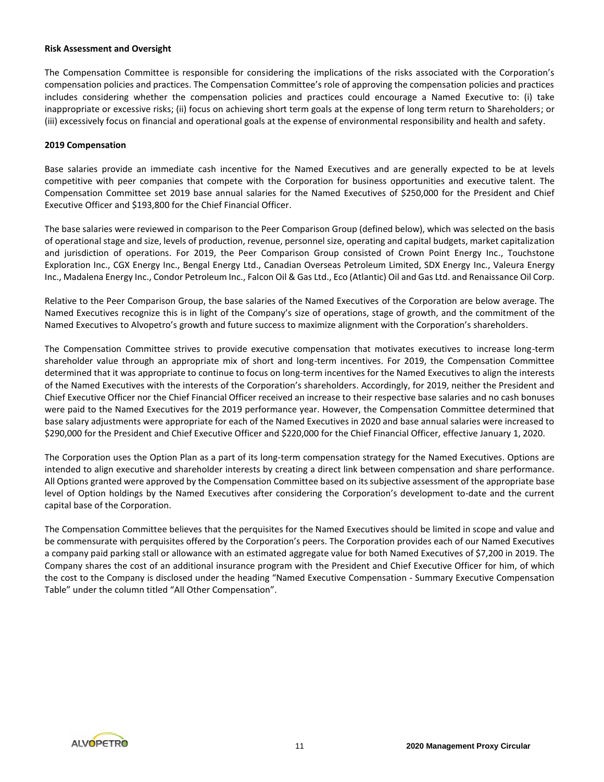#### **Risk Assessment and Oversight**

The Compensation Committee is responsible for considering the implications of the risks associated with the Corporation's compensation policies and practices. The Compensation Committee's role of approving the compensation policies and practices includes considering whether the compensation policies and practices could encourage a Named Executive to: (i) take inappropriate or excessive risks; (ii) focus on achieving short term goals at the expense of long term return to Shareholders; or (iii) excessively focus on financial and operational goals at the expense of environmental responsibility and health and safety.

# **2019 Compensation**

Base salaries provide an immediate cash incentive for the Named Executives and are generally expected to be at levels competitive with peer companies that compete with the Corporation for business opportunities and executive talent. The Compensation Committee set 2019 base annual salaries for the Named Executives of \$250,000 for the President and Chief Executive Officer and \$193,800 for the Chief Financial Officer.

The base salaries were reviewed in comparison to the Peer Comparison Group (defined below), which was selected on the basis of operational stage and size, levels of production, revenue, personnel size, operating and capital budgets, market capitalization and jurisdiction of operations. For 2019, the Peer Comparison Group consisted of Crown Point Energy Inc., Touchstone Exploration Inc., CGX Energy Inc., Bengal Energy Ltd., Canadian Overseas Petroleum Limited, SDX Energy Inc., Valeura Energy Inc., Madalena Energy Inc., Condor Petroleum Inc., Falcon Oil & Gas Ltd., Eco (Atlantic) Oil and Gas Ltd. and Renaissance Oil Corp.

Relative to the Peer Comparison Group, the base salaries of the Named Executives of the Corporation are below average. The Named Executives recognize this is in light of the Company's size of operations, stage of growth, and the commitment of the Named Executives to Alvopetro's growth and future success to maximize alignment with the Corporation's shareholders.

The Compensation Committee strives to provide executive compensation that motivates executives to increase long-term shareholder value through an appropriate mix of short and long-term incentives. For 2019, the Compensation Committee determined that it was appropriate to continue to focus on long-term incentives for the Named Executives to align the interests of the Named Executives with the interests of the Corporation's shareholders. Accordingly, for 2019, neither the President and Chief Executive Officer nor the Chief Financial Officer received an increase to their respective base salaries and no cash bonuses were paid to the Named Executives for the 2019 performance year. However, the Compensation Committee determined that base salary adjustments were appropriate for each of the Named Executives in 2020 and base annual salaries were increased to \$290,000 for the President and Chief Executive Officer and \$220,000 for the Chief Financial Officer, effective January 1, 2020.

The Corporation uses the Option Plan as a part of its long-term compensation strategy for the Named Executives. Options are intended to align executive and shareholder interests by creating a direct link between compensation and share performance. All Options granted were approved by the Compensation Committee based on its subjective assessment of the appropriate base level of Option holdings by the Named Executives after considering the Corporation's development to-date and the current capital base of the Corporation.

The Compensation Committee believes that the perquisites for the Named Executives should be limited in scope and value and be commensurate with perquisites offered by the Corporation's peers. The Corporation provides each of our Named Executives a company paid parking stall or allowance with an estimated aggregate value for both Named Executives of \$7,200 in 2019. The Company shares the cost of an additional insurance program with the President and Chief Executive Officer for him, of which the cost to the Company is disclosed under the heading "Named Executive Compensation - Summary Executive Compensation Table" under the column titled "All Other Compensation".

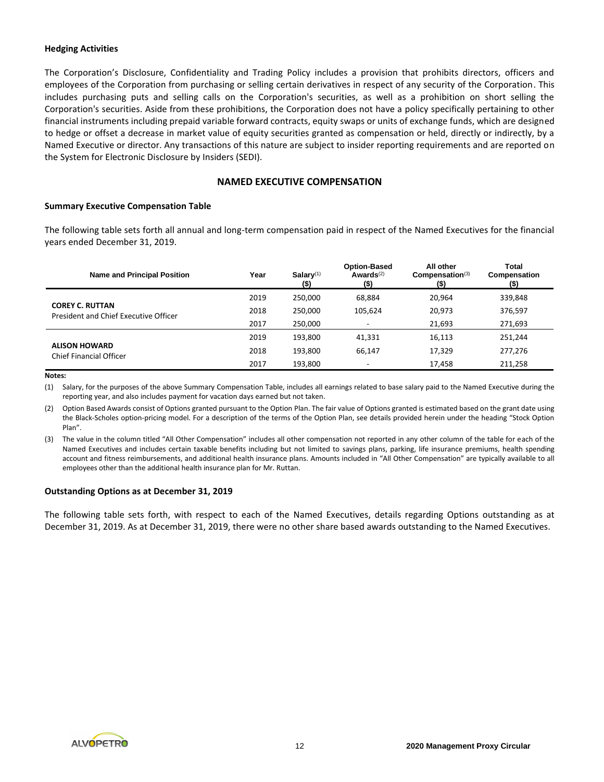## **Hedging Activities**

The Corporation's Disclosure, Confidentiality and Trading Policy includes a provision that prohibits directors, officers and employees of the Corporation from purchasing or selling certain derivatives in respect of any security of the Corporation. This includes purchasing puts and selling calls on the Corporation's securities, as well as a prohibition on short selling the Corporation's securities. Aside from these prohibitions, the Corporation does not have a policy specifically pertaining to other financial instruments including prepaid variable forward contracts, equity swaps or units of exchange funds, which are designed to hedge or offset a decrease in market value of equity securities granted as compensation or held, directly or indirectly, by a Named Executive or director. Any transactions of this nature are subject to insider reporting requirements and are reported on the System for Electronic Disclosure by Insiders (SEDI).

# **NAMED EXECUTIVE COMPENSATION**

#### **Summary Executive Compensation Table**

The following table sets forth all annual and long-term compensation paid in respect of the Named Executives for the financial years ended December 31, 2019.

| <b>Name and Principal Position</b>                              | Year | Salary $(1)$<br>$($)$ | <b>Option-Based</b><br>Awards $(2)$<br>$($ \$) | All other<br>Compensation <sup>(3)</sup><br>$($ \$) | Total<br>Compensation<br>(\$) |
|-----------------------------------------------------------------|------|-----------------------|------------------------------------------------|-----------------------------------------------------|-------------------------------|
|                                                                 | 2019 | 250,000               | 68,884                                         | 20,964                                              | 339,848                       |
| <b>COREY C. RUTTAN</b><br>President and Chief Executive Officer | 2018 | 250.000               | 105.624                                        | 20,973                                              | 376,597                       |
|                                                                 | 2017 | 250,000               | $\overline{\phantom{a}}$                       | 21,693                                              | 271,693                       |
|                                                                 | 2019 | 193,800               | 41,331                                         | 16,113                                              | 251,244                       |
| <b>ALISON HOWARD</b><br>Chief Financial Officer                 | 2018 | 193.800               | 66.147                                         | 17,329                                              | 277,276                       |
|                                                                 | 2017 | 193,800               | $\overline{\phantom{0}}$                       | 17,458                                              | 211,258                       |

#### **Notes:**

(1) Salary, for the purposes of the above Summary Compensation Table, includes all earnings related to base salary paid to the Named Executive during the reporting year, and also includes payment for vacation days earned but not taken.

(2) Option Based Awards consist of Options granted pursuant to the Option Plan. The fair value of Options granted is estimated based on the grant date using the Black-Scholes option-pricing model. For a description of the terms of the Option Plan, see details provided herein under the heading "Stock Option Plan".

(3) The value in the column titled "All Other Compensation" includes all other compensation not reported in any other column of the table for each of the Named Executives and includes certain taxable benefits including but not limited to savings plans, parking, life insurance premiums, health spending account and fitness reimbursements, and additional health insurance plans. Amounts included in "All Other Compensation" are typically available to all employees other than the additional health insurance plan for Mr. Ruttan.

#### **Outstanding Options as at December 31, 2019**

The following table sets forth, with respect to each of the Named Executives, details regarding Options outstanding as at December 31, 2019. As at December 31, 2019, there were no other share based awards outstanding to the Named Executives.

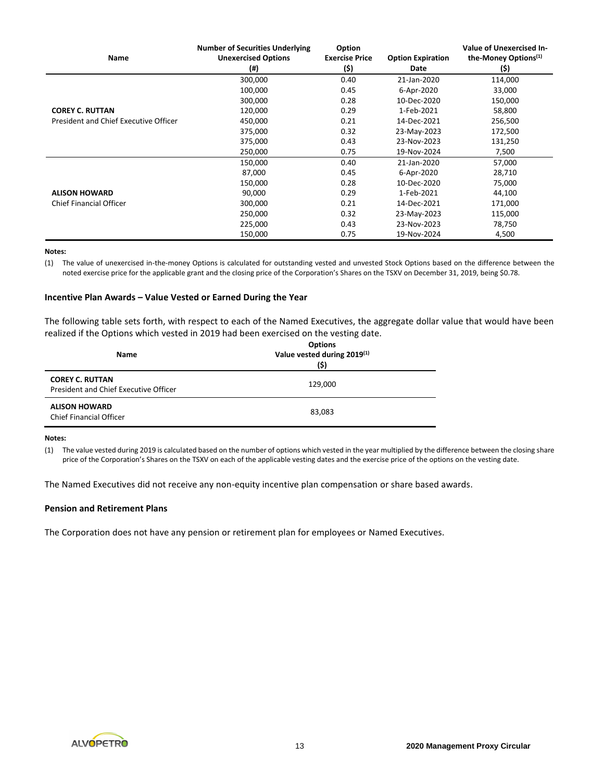| Name                                  | <b>Number of Securities Underlying</b><br><b>Unexercised Options</b><br>$($ #) | <b>Option</b><br><b>Exercise Price</b><br>(\$) | <b>Option Expiration</b><br>Date | Value of Unexercised In-<br>the-Money Options <sup>(1)</sup><br>(\$) |
|---------------------------------------|--------------------------------------------------------------------------------|------------------------------------------------|----------------------------------|----------------------------------------------------------------------|
|                                       | 300,000                                                                        | 0.40                                           | 21-Jan-2020                      | 114,000                                                              |
|                                       | 100,000                                                                        | 0.45                                           | 6-Apr-2020                       | 33,000                                                               |
|                                       | 300,000                                                                        | 0.28                                           | 10-Dec-2020                      | 150,000                                                              |
| <b>COREY C. RUTTAN</b>                | 120,000                                                                        | 0.29                                           | 1-Feb-2021                       | 58,800                                                               |
| President and Chief Executive Officer | 450,000                                                                        | 0.21                                           | 14-Dec-2021                      | 256,500                                                              |
|                                       | 375,000                                                                        | 0.32                                           | 23-May-2023                      | 172,500                                                              |
|                                       | 375,000                                                                        | 0.43                                           | 23-Nov-2023                      | 131,250                                                              |
|                                       | 250,000                                                                        | 0.75                                           | 19-Nov-2024                      | 7,500                                                                |
|                                       | 150,000                                                                        | 0.40                                           | 21-Jan-2020                      | 57,000                                                               |
|                                       | 87,000                                                                         | 0.45                                           | 6-Apr-2020                       | 28,710                                                               |
|                                       | 150,000                                                                        | 0.28                                           | 10-Dec-2020                      | 75,000                                                               |
| <b>ALISON HOWARD</b>                  | 90,000                                                                         | 0.29                                           | 1-Feb-2021                       | 44,100                                                               |
| <b>Chief Financial Officer</b>        | 300,000                                                                        | 0.21                                           | 14-Dec-2021                      | 171,000                                                              |
|                                       | 250,000                                                                        | 0.32                                           | 23-May-2023                      | 115,000                                                              |
|                                       | 225,000                                                                        | 0.43                                           | 23-Nov-2023                      | 78,750                                                               |
|                                       | 150,000                                                                        | 0.75                                           | 19-Nov-2024                      | 4,500                                                                |

#### **Notes:**

(1) The value of unexercised in-the-money Options is calculated for outstanding vested and unvested Stock Options based on the difference between the noted exercise price for the applicable grant and the closing price of the Corporation's Shares on the TSXV on December 31, 2019, being \$0.78.

#### **Incentive Plan Awards – Value Vested or Earned During the Year**

The following table sets forth, with respect to each of the Named Executives, the aggregate dollar value that would have been realized if the Options which vested in 2019 had been exercised on the vesting date.

| <b>Name</b>                                                     | <b>Options</b><br>Value vested during 2019(1)<br>(\$) |
|-----------------------------------------------------------------|-------------------------------------------------------|
| <b>COREY C. RUTTAN</b><br>President and Chief Executive Officer | 129,000                                               |
| <b>ALISON HOWARD</b><br>Chief Financial Officer                 | 83,083                                                |

#### **Notes:**

(1) The value vested during 2019 is calculated based on the number of options which vested in the year multiplied by the difference between the closing share price of the Corporation's Shares on the TSXV on each of the applicable vesting dates and the exercise price of the options on the vesting date.

The Named Executives did not receive any non-equity incentive plan compensation or share based awards.

#### **Pension and Retirement Plans**

The Corporation does not have any pension or retirement plan for employees or Named Executives.

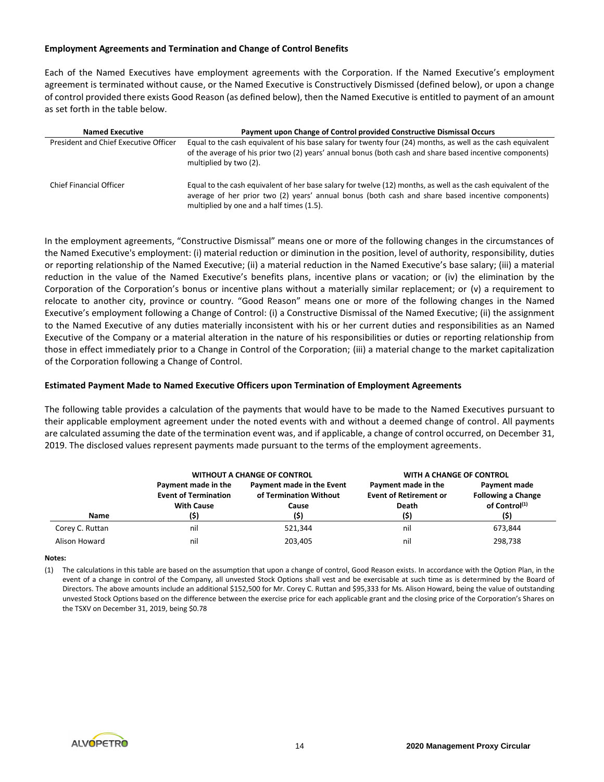## **Employment Agreements and Termination and Change of Control Benefits**

Each of the Named Executives have employment agreements with the Corporation. If the Named Executive's employment agreement is terminated without cause, or the Named Executive is Constructively Dismissed (defined below), or upon a change of control provided there exists Good Reason (as defined below), then the Named Executive is entitled to payment of an amount as set forth in the table below.

| <b>Named Executive</b>                | Payment upon Change of Control provided Constructive Dismissal Occurs                                                                                                                                                                                           |
|---------------------------------------|-----------------------------------------------------------------------------------------------------------------------------------------------------------------------------------------------------------------------------------------------------------------|
| President and Chief Executive Officer | Equal to the cash equivalent of his base salary for twenty four (24) months, as well as the cash equivalent<br>of the average of his prior two (2) years' annual bonus (both cash and share based incentive components)<br>multiplied by two (2).               |
| <b>Chief Financial Officer</b>        | Equal to the cash equivalent of her base salary for twelve (12) months, as well as the cash equivalent of the<br>average of her prior two (2) years' annual bonus (both cash and share based incentive components)<br>multiplied by one and a half times (1.5). |

In the employment agreements, "Constructive Dismissal" means one or more of the following changes in the circumstances of the Named Executive's employment: (i) material reduction or diminution in the position, level of authority, responsibility, duties or reporting relationship of the Named Executive; (ii) a material reduction in the Named Executive's base salary; (iii) a material reduction in the value of the Named Executive's benefits plans, incentive plans or vacation; or (iv) the elimination by the Corporation of the Corporation's bonus or incentive plans without a materially similar replacement; or (v) a requirement to relocate to another city, province or country. "Good Reason" means one or more of the following changes in the Named Executive's employment following a Change of Control: (i) a Constructive Dismissal of the Named Executive; (ii) the assignment to the Named Executive of any duties materially inconsistent with his or her current duties and responsibilities as an Named Executive of the Company or a material alteration in the nature of his responsibilities or duties or reporting relationship from those in effect immediately prior to a Change in Control of the Corporation; (iii) a material change to the market capitalization of the Corporation following a Change of Control.

#### **Estimated Payment Made to Named Executive Officers upon Termination of Employment Agreements**

The following table provides a calculation of the payments that would have to be made to the Named Executives pursuant to their applicable employment agreement under the noted events with and without a deemed change of control. All payments are calculated assuming the date of the termination event was, and if applicable, a change of control occurred, on December 31, 2019. The disclosed values represent payments made pursuant to the terms of the employment agreements.

|                 |                                                                         | <b>WITHOUT A CHANGE OF CONTROL</b>                                   | WITH A CHANGE OF CONTROL                                              |                                                                                |
|-----------------|-------------------------------------------------------------------------|----------------------------------------------------------------------|-----------------------------------------------------------------------|--------------------------------------------------------------------------------|
| Name            | Payment made in the<br><b>Event of Termination</b><br><b>With Cause</b> | Payment made in the Event<br>of Termination Without<br>Cause<br>(\$) | Payment made in the<br><b>Event of Retirement or</b><br>Death<br>(\$) | Payment made<br><b>Following a Change</b><br>of Control <sup>(1)</sup><br>(\$) |
| Corey C. Ruttan | nil                                                                     | 521.344                                                              | nil                                                                   | 673,844                                                                        |
| Alison Howard   | nil                                                                     | 203.405                                                              | nil                                                                   | 298,738                                                                        |

#### **Notes:**

(1) The calculations in this table are based on the assumption that upon a change of control, Good Reason exists. In accordance with the Option Plan, in the event of a change in control of the Company, all unvested Stock Options shall vest and be exercisable at such time as is determined by the Board of Directors. The above amounts include an additional \$152,500 for Mr. Corey C. Ruttan and \$95,333 for Ms. Alison Howard, being the value of outstanding unvested Stock Options based on the difference between the exercise price for each applicable grant and the closing price of the Corporation's Shares on the TSXV on December 31, 2019, being \$0.78

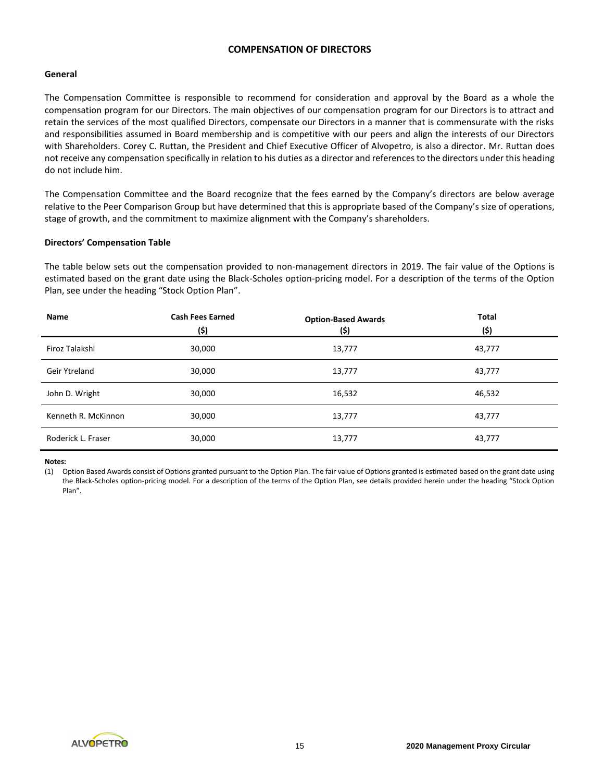# **COMPENSATION OF DIRECTORS**

## **General**

The Compensation Committee is responsible to recommend for consideration and approval by the Board as a whole the compensation program for our Directors. The main objectives of our compensation program for our Directors is to attract and retain the services of the most qualified Directors, compensate our Directors in a manner that is commensurate with the risks and responsibilities assumed in Board membership and is competitive with our peers and align the interests of our Directors with Shareholders. Corey C. Ruttan, the President and Chief Executive Officer of Alvopetro, is also a director. Mr. Ruttan does not receive any compensation specifically in relation to his duties as a director and references to the directors under this heading do not include him.

The Compensation Committee and the Board recognize that the fees earned by the Company's directors are below average relative to the Peer Comparison Group but have determined that this is appropriate based of the Company's size of operations, stage of growth, and the commitment to maximize alignment with the Company's shareholders.

# **Directors' Compensation Table**

The table below sets out the compensation provided to non-management directors in 2019. The fair value of the Options is estimated based on the grant date using the Black-Scholes option-pricing model. For a description of the terms of the Option Plan, see under the heading "Stock Option Plan".

| Name                | <b>Cash Fees Earned</b><br>(\$) | <b>Option-Based Awards</b><br>(\$) | <b>Total</b><br>(5) |
|---------------------|---------------------------------|------------------------------------|---------------------|
| Firoz Talakshi      | 30,000                          | 13,777                             | 43,777              |
| Geir Ytreland       | 30,000                          | 13,777                             | 43,777              |
| John D. Wright      | 30,000                          | 16,532                             | 46,532              |
| Kenneth R. McKinnon | 30,000                          | 13,777                             | 43,777              |
| Roderick L. Fraser  | 30,000                          | 13,777                             | 43,777              |

#### **Notes:**

(1) Option Based Awards consist of Options granted pursuant to the Option Plan. The fair value of Options granted is estimated based on the grant date using the Black-Scholes option-pricing model. For a description of the terms of the Option Plan, see details provided herein under the heading "Stock Option Plan".

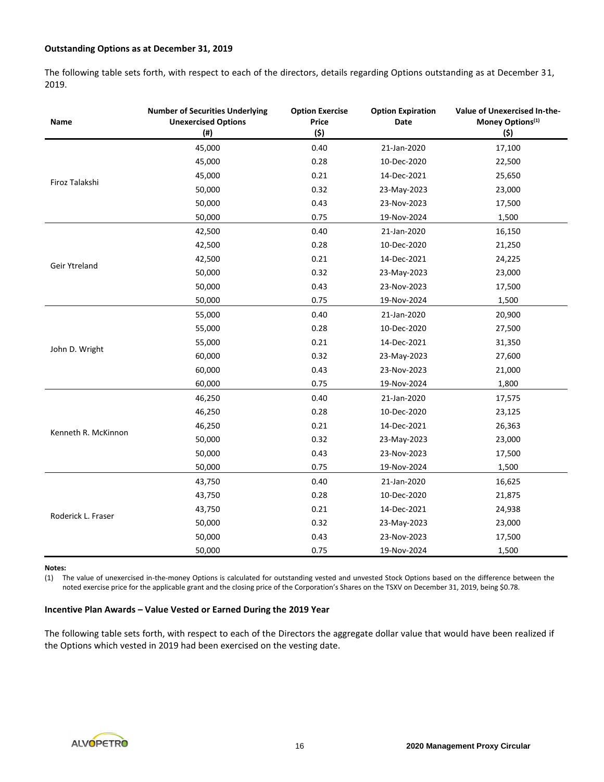# **Outstanding Options as at December 31, 2019**

The following table sets forth, with respect to each of the directors, details regarding Options outstanding as at December 31, 2019.

| Name                | <b>Number of Securities Underlying</b><br><b>Unexercised Options</b><br>$($ # $)$ | <b>Option Exercise</b><br>Price<br>(5) | <b>Option Expiration</b><br>Date | Value of Unexercised In-the-<br>Money Options <sup>(1)</sup><br>(\$) |
|---------------------|-----------------------------------------------------------------------------------|----------------------------------------|----------------------------------|----------------------------------------------------------------------|
|                     | 45,000                                                                            | 0.40                                   | 21-Jan-2020                      | 17,100                                                               |
|                     | 45,000                                                                            | 0.28                                   | 10-Dec-2020                      | 22,500                                                               |
|                     | 45,000                                                                            | 0.21                                   | 14-Dec-2021                      | 25,650                                                               |
| Firoz Talakshi      | 50,000                                                                            | 0.32                                   | 23-May-2023                      | 23,000                                                               |
|                     | 50,000                                                                            | 0.43                                   | 23-Nov-2023                      | 17,500                                                               |
|                     | 50,000                                                                            | 0.75                                   | 19-Nov-2024                      | 1,500                                                                |
|                     | 42,500                                                                            | 0.40                                   | 21-Jan-2020                      | 16,150                                                               |
|                     | 42,500                                                                            | 0.28                                   | 10-Dec-2020                      | 21,250                                                               |
| Geir Ytreland       | 42,500                                                                            | 0.21                                   | 14-Dec-2021                      | 24,225                                                               |
|                     | 50,000                                                                            | 0.32                                   | 23-May-2023                      | 23,000                                                               |
|                     | 50,000                                                                            | 0.43                                   | 23-Nov-2023                      | 17,500                                                               |
|                     | 50,000                                                                            | 0.75                                   | 19-Nov-2024                      | 1,500                                                                |
|                     | 55,000                                                                            | 0.40                                   | 21-Jan-2020                      | 20,900                                                               |
|                     | 55,000                                                                            | 0.28                                   | 10-Dec-2020                      | 27,500                                                               |
|                     | 55,000                                                                            | 0.21                                   | 14-Dec-2021                      | 31,350                                                               |
| John D. Wright      | 60,000                                                                            | 0.32                                   | 23-May-2023                      | 27,600                                                               |
|                     | 60,000                                                                            | 0.43                                   | 23-Nov-2023                      | 21,000                                                               |
|                     | 60,000                                                                            | 0.75                                   | 19-Nov-2024                      | 1,800                                                                |
|                     | 46,250                                                                            | 0.40                                   | 21-Jan-2020                      | 17,575                                                               |
|                     | 46,250                                                                            | 0.28                                   | 10-Dec-2020                      | 23,125                                                               |
| Kenneth R. McKinnon | 46,250                                                                            | 0.21                                   | 14-Dec-2021                      | 26,363                                                               |
|                     | 50,000                                                                            | 0.32                                   | 23-May-2023                      | 23,000                                                               |
|                     | 50,000                                                                            | 0.43                                   | 23-Nov-2023                      | 17,500                                                               |
|                     | 50,000                                                                            | 0.75                                   | 19-Nov-2024                      | 1,500                                                                |
|                     | 43,750                                                                            | 0.40                                   | 21-Jan-2020                      | 16,625                                                               |
|                     | 43,750                                                                            | 0.28                                   | 10-Dec-2020                      | 21,875                                                               |
| Roderick L. Fraser  | 43,750                                                                            | 0.21                                   | 14-Dec-2021                      | 24,938                                                               |
|                     | 50,000                                                                            | 0.32                                   | 23-May-2023                      | 23,000                                                               |
|                     | 50,000                                                                            | 0.43                                   | 23-Nov-2023                      | 17,500                                                               |
|                     | 50,000                                                                            | 0.75                                   | 19-Nov-2024                      | 1,500                                                                |

#### **Notes:**

(1) The value of unexercised in-the-money Options is calculated for outstanding vested and unvested Stock Options based on the difference between the noted exercise price for the applicable grant and the closing price of the Corporation's Shares on the TSXV on December 31, 2019, being \$0.78.

#### **Incentive Plan Awards – Value Vested or Earned During the 2019 Year**

The following table sets forth, with respect to each of the Directors the aggregate dollar value that would have been realized if the Options which vested in 2019 had been exercised on the vesting date.

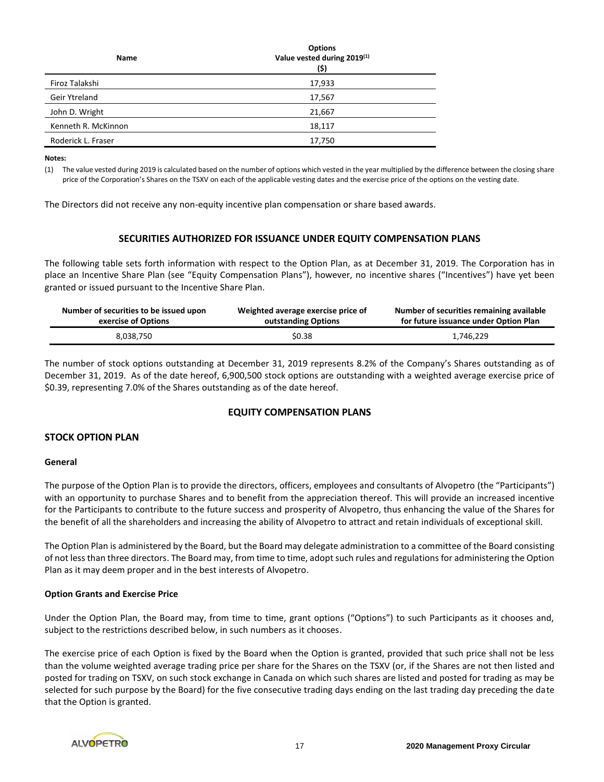| <b>Name</b>         | <b>Options</b><br>Value vested during 2019(1)<br>(\$) |
|---------------------|-------------------------------------------------------|
| Firoz Talakshi      | 17,933                                                |
| Geir Ytreland       | 17,567                                                |
| John D. Wright      | 21,667                                                |
| Kenneth R. McKinnon | 18,117                                                |
| Roderick L. Fraser  | 17,750                                                |

**Notes:**

(1) The value vested during 2019 is calculated based on the number of options which vested in the year multiplied by the difference between the closing share price of the Corporation's Shares on the TSXV on each of the applicable vesting dates and the exercise price of the options on the vesting date.

The Directors did not receive any non-equity incentive plan compensation or share based awards.

# **SECURITIES AUTHORIZED FOR ISSUANCE UNDER EQUITY COMPENSATION PLANS**

The following table sets forth information with respect to the Option Plan, as at December 31, 2019. The Corporation has in place an Incentive Share Plan (see "Equity Compensation Plans"), however, no incentive shares ("Incentives") have yet been granted or issued pursuant to the Incentive Share Plan.

| Number of securities to be issued upon | Weighted average exercise price of | Number of securities remaining available |
|----------------------------------------|------------------------------------|------------------------------------------|
| exercise of Options                    | outstanding Options                | for future issuance under Option Plan    |
| 8.038.750                              | \$0.38                             | 1,746,229                                |

The number of stock options outstanding at December 31, 2019 represents 8.2% of the Company's Shares outstanding as of December 31, 2019. As of the date hereof, 6,900,500 stock options are outstanding with a weighted average exercise price of \$0.39, representing 7.0% of the Shares outstanding as of the date hereof.

# **EQUITY COMPENSATION PLANS**

# **STOCK OPTION PLAN**

#### **General**

The purpose of the Option Plan is to provide the directors, officers, employees and consultants of Alvopetro (the "Participants") with an opportunity to purchase Shares and to benefit from the appreciation thereof. This will provide an increased incentive for the Participants to contribute to the future success and prosperity of Alvopetro, thus enhancing the value of the Shares for the benefit of all the shareholders and increasing the ability of Alvopetro to attract and retain individuals of exceptional skill.

The Option Plan is administered by the Board, but the Board may delegate administration to a committee of the Board consisting of not less than three directors. The Board may, from time to time, adopt such rules and regulations for administering the Option Plan as it may deem proper and in the best interests of Alvopetro.

# **Option Grants and Exercise Price**

Under the Option Plan, the Board may, from time to time, grant options ("Options") to such Participants as it chooses and, subject to the restrictions described below, in such numbers as it chooses.

The exercise price of each Option is fixed by the Board when the Option is granted, provided that such price shall not be less than the volume weighted average trading price per share for the Shares on the TSXV (or, if the Shares are not then listed and posted for trading on TSXV, on such stock exchange in Canada on which such shares are listed and posted for trading as may be selected for such purpose by the Board) for the five consecutive trading days ending on the last trading day preceding the date that the Option is granted.

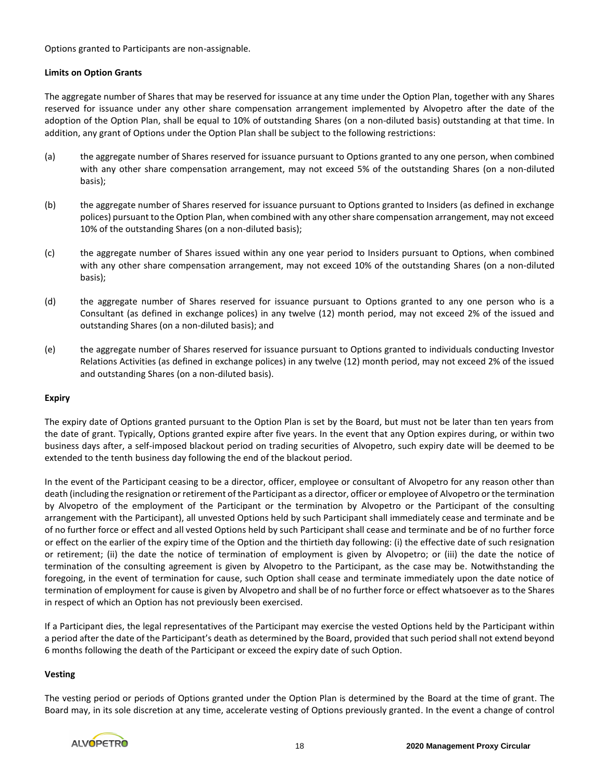Options granted to Participants are non-assignable.

# **Limits on Option Grants**

The aggregate number of Shares that may be reserved for issuance at any time under the Option Plan, together with any Shares reserved for issuance under any other share compensation arrangement implemented by Alvopetro after the date of the adoption of the Option Plan, shall be equal to 10% of outstanding Shares (on a non-diluted basis) outstanding at that time. In addition, any grant of Options under the Option Plan shall be subject to the following restrictions:

- (a) the aggregate number of Shares reserved for issuance pursuant to Options granted to any one person, when combined with any other share compensation arrangement, may not exceed 5% of the outstanding Shares (on a non-diluted basis);
- (b) the aggregate number of Shares reserved for issuance pursuant to Options granted to Insiders (as defined in exchange polices) pursuant to the Option Plan, when combined with any other share compensation arrangement, may not exceed 10% of the outstanding Shares (on a non-diluted basis);
- (c) the aggregate number of Shares issued within any one year period to Insiders pursuant to Options, when combined with any other share compensation arrangement, may not exceed 10% of the outstanding Shares (on a non-diluted basis);
- (d) the aggregate number of Shares reserved for issuance pursuant to Options granted to any one person who is a Consultant (as defined in exchange polices) in any twelve (12) month period, may not exceed 2% of the issued and outstanding Shares (on a non-diluted basis); and
- (e) the aggregate number of Shares reserved for issuance pursuant to Options granted to individuals conducting Investor Relations Activities (as defined in exchange polices) in any twelve (12) month period, may not exceed 2% of the issued and outstanding Shares (on a non-diluted basis).

# **Expiry**

The expiry date of Options granted pursuant to the Option Plan is set by the Board, but must not be later than ten years from the date of grant. Typically, Options granted expire after five years. In the event that any Option expires during, or within two business days after, a self-imposed blackout period on trading securities of Alvopetro, such expiry date will be deemed to be extended to the tenth business day following the end of the blackout period.

In the event of the Participant ceasing to be a director, officer, employee or consultant of Alvopetro for any reason other than death (including the resignation or retirement of the Participant as a director, officer or employee of Alvopetro or the termination by Alvopetro of the employment of the Participant or the termination by Alvopetro or the Participant of the consulting arrangement with the Participant), all unvested Options held by such Participant shall immediately cease and terminate and be of no further force or effect and all vested Options held by such Participant shall cease and terminate and be of no further force or effect on the earlier of the expiry time of the Option and the thirtieth day following: (i) the effective date of such resignation or retirement; (ii) the date the notice of termination of employment is given by Alvopetro; or (iii) the date the notice of termination of the consulting agreement is given by Alvopetro to the Participant, as the case may be. Notwithstanding the foregoing, in the event of termination for cause, such Option shall cease and terminate immediately upon the date notice of termination of employment for cause is given by Alvopetro and shall be of no further force or effect whatsoever as to the Shares in respect of which an Option has not previously been exercised.

If a Participant dies, the legal representatives of the Participant may exercise the vested Options held by the Participant within a period after the date of the Participant's death as determined by the Board, provided that such period shall not extend beyond 6 months following the death of the Participant or exceed the expiry date of such Option.

# **Vesting**

The vesting period or periods of Options granted under the Option Plan is determined by the Board at the time of grant. The Board may, in its sole discretion at any time, accelerate vesting of Options previously granted. In the event a change of control

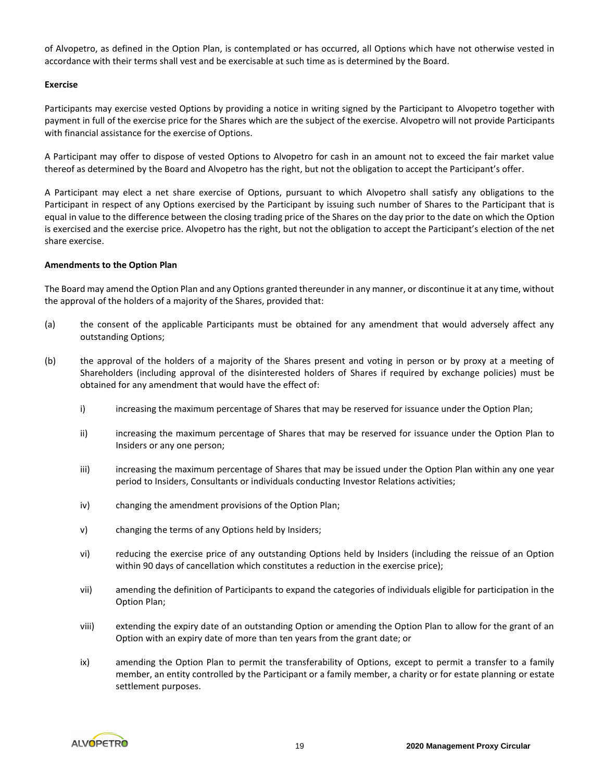of Alvopetro, as defined in the Option Plan, is contemplated or has occurred, all Options which have not otherwise vested in accordance with their terms shall vest and be exercisable at such time as is determined by the Board.

#### **Exercise**

Participants may exercise vested Options by providing a notice in writing signed by the Participant to Alvopetro together with payment in full of the exercise price for the Shares which are the subject of the exercise. Alvopetro will not provide Participants with financial assistance for the exercise of Options.

A Participant may offer to dispose of vested Options to Alvopetro for cash in an amount not to exceed the fair market value thereof as determined by the Board and Alvopetro has the right, but not the obligation to accept the Participant's offer.

A Participant may elect a net share exercise of Options, pursuant to which Alvopetro shall satisfy any obligations to the Participant in respect of any Options exercised by the Participant by issuing such number of Shares to the Participant that is equal in value to the difference between the closing trading price of the Shares on the day prior to the date on which the Option is exercised and the exercise price. Alvopetro has the right, but not the obligation to accept the Participant's election of the net share exercise.

## **Amendments to the Option Plan**

The Board may amend the Option Plan and any Options granted thereunder in any manner, or discontinue it at any time, without the approval of the holders of a majority of the Shares, provided that:

- (a) the consent of the applicable Participants must be obtained for any amendment that would adversely affect any outstanding Options;
- (b) the approval of the holders of a majority of the Shares present and voting in person or by proxy at a meeting of Shareholders (including approval of the disinterested holders of Shares if required by exchange policies) must be obtained for any amendment that would have the effect of:
	- i) increasing the maximum percentage of Shares that may be reserved for issuance under the Option Plan;
	- ii) increasing the maximum percentage of Shares that may be reserved for issuance under the Option Plan to Insiders or any one person;
	- iii) increasing the maximum percentage of Shares that may be issued under the Option Plan within any one year period to Insiders, Consultants or individuals conducting Investor Relations activities;
	- iv) changing the amendment provisions of the Option Plan;
	- v) changing the terms of any Options held by Insiders;
	- vi) reducing the exercise price of any outstanding Options held by Insiders (including the reissue of an Option within 90 days of cancellation which constitutes a reduction in the exercise price);
	- vii) amending the definition of Participants to expand the categories of individuals eligible for participation in the Option Plan;
	- viii) extending the expiry date of an outstanding Option or amending the Option Plan to allow for the grant of an Option with an expiry date of more than ten years from the grant date; or
	- ix) amending the Option Plan to permit the transferability of Options, except to permit a transfer to a family member, an entity controlled by the Participant or a family member, a charity or for estate planning or estate settlement purposes.

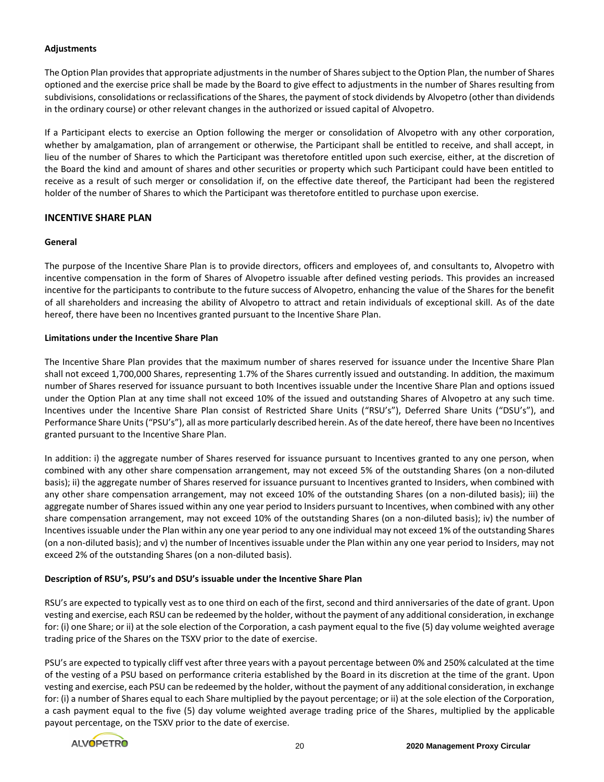# **Adjustments**

The Option Plan provides that appropriate adjustments in the number of Sharessubject to the Option Plan, the number of Shares optioned and the exercise price shall be made by the Board to give effect to adjustments in the number of Shares resulting from subdivisions, consolidations or reclassifications of the Shares, the payment of stock dividends by Alvopetro (other than dividends in the ordinary course) or other relevant changes in the authorized or issued capital of Alvopetro.

If a Participant elects to exercise an Option following the merger or consolidation of Alvopetro with any other corporation, whether by amalgamation, plan of arrangement or otherwise, the Participant shall be entitled to receive, and shall accept, in lieu of the number of Shares to which the Participant was theretofore entitled upon such exercise, either, at the discretion of the Board the kind and amount of shares and other securities or property which such Participant could have been entitled to receive as a result of such merger or consolidation if, on the effective date thereof, the Participant had been the registered holder of the number of Shares to which the Participant was theretofore entitled to purchase upon exercise.

# **INCENTIVE SHARE PLAN**

# **General**

The purpose of the Incentive Share Plan is to provide directors, officers and employees of, and consultants to, Alvopetro with incentive compensation in the form of Shares of Alvopetro issuable after defined vesting periods. This provides an increased incentive for the participants to contribute to the future success of Alvopetro, enhancing the value of the Shares for the benefit of all shareholders and increasing the ability of Alvopetro to attract and retain individuals of exceptional skill. As of the date hereof, there have been no Incentives granted pursuant to the Incentive Share Plan.

## **Limitations under the Incentive Share Plan**

The Incentive Share Plan provides that the maximum number of shares reserved for issuance under the Incentive Share Plan shall not exceed 1,700,000 Shares, representing 1.7% of the Shares currently issued and outstanding. In addition, the maximum number of Shares reserved for issuance pursuant to both Incentives issuable under the Incentive Share Plan and options issued under the Option Plan at any time shall not exceed 10% of the issued and outstanding Shares of Alvopetro at any such time. Incentives under the Incentive Share Plan consist of Restricted Share Units ("RSU's"), Deferred Share Units ("DSU's"), and Performance Share Units ("PSU's"), all as more particularly described herein. As of the date hereof, there have been no Incentives granted pursuant to the Incentive Share Plan.

In addition: i) the aggregate number of Shares reserved for issuance pursuant to Incentives granted to any one person, when combined with any other share compensation arrangement, may not exceed 5% of the outstanding Shares (on a non-diluted basis); ii) the aggregate number of Shares reserved for issuance pursuant to Incentives granted to Insiders, when combined with any other share compensation arrangement, may not exceed 10% of the outstanding Shares (on a non-diluted basis); iii) the aggregate number of Shares issued within any one year period to Insiders pursuant to Incentives, when combined with any other share compensation arrangement, may not exceed 10% of the outstanding Shares (on a non-diluted basis); iv) the number of Incentives issuable under the Plan within any one year period to any one individual may not exceed 1% of the outstanding Shares (on a non-diluted basis); and v) the number of Incentives issuable under the Plan within any one year period to Insiders, may not exceed 2% of the outstanding Shares (on a non-diluted basis).

# **Description of RSU's, PSU's and DSU's issuable under the Incentive Share Plan**

RSU's are expected to typically vest as to one third on each of the first, second and third anniversaries of the date of grant. Upon vesting and exercise, each RSU can be redeemed by the holder, without the payment of any additional consideration, in exchange for: (i) one Share; or ii) at the sole election of the Corporation, a cash payment equal to the five (5) day volume weighted average trading price of the Shares on the TSXV prior to the date of exercise.

PSU's are expected to typically cliff vest after three years with a payout percentage between 0% and 250% calculated at the time of the vesting of a PSU based on performance criteria established by the Board in its discretion at the time of the grant. Upon vesting and exercise, each PSU can be redeemed by the holder, without the payment of any additional consideration, in exchange for: (i) a number of Shares equal to each Share multiplied by the payout percentage; or ii) at the sole election of the Corporation, a cash payment equal to the five (5) day volume weighted average trading price of the Shares, multiplied by the applicable payout percentage, on the TSXV prior to the date of exercise.

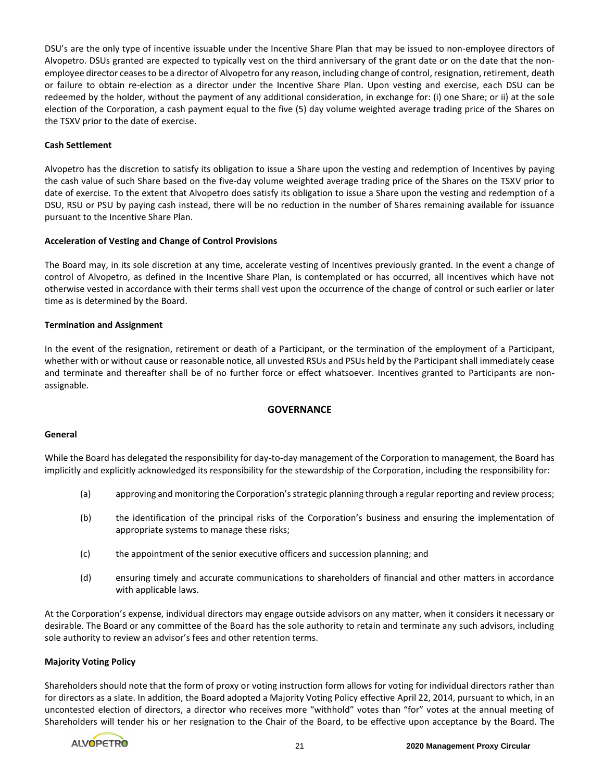DSU's are the only type of incentive issuable under the Incentive Share Plan that may be issued to non-employee directors of Alvopetro. DSUs granted are expected to typically vest on the third anniversary of the grant date or on the date that the nonemployee director ceases to be a director of Alvopetro for any reason, including change of control, resignation, retirement, death or failure to obtain re-election as a director under the Incentive Share Plan. Upon vesting and exercise, each DSU can be redeemed by the holder, without the payment of any additional consideration, in exchange for: (i) one Share; or ii) at the sole election of the Corporation, a cash payment equal to the five (5) day volume weighted average trading price of the Shares on the TSXV prior to the date of exercise.

# **Cash Settlement**

Alvopetro has the discretion to satisfy its obligation to issue a Share upon the vesting and redemption of Incentives by paying the cash value of such Share based on the five-day volume weighted average trading price of the Shares on the TSXV prior to date of exercise. To the extent that Alvopetro does satisfy its obligation to issue a Share upon the vesting and redemption of a DSU, RSU or PSU by paying cash instead, there will be no reduction in the number of Shares remaining available for issuance pursuant to the Incentive Share Plan.

# **Acceleration of Vesting and Change of Control Provisions**

The Board may, in its sole discretion at any time, accelerate vesting of Incentives previously granted. In the event a change of control of Alvopetro, as defined in the Incentive Share Plan, is contemplated or has occurred, all Incentives which have not otherwise vested in accordance with their terms shall vest upon the occurrence of the change of control or such earlier or later time as is determined by the Board.

# **Termination and Assignment**

In the event of the resignation, retirement or death of a Participant, or the termination of the employment of a Participant, whether with or without cause or reasonable notice, all unvested RSUs and PSUs held by the Participant shall immediately cease and terminate and thereafter shall be of no further force or effect whatsoever. Incentives granted to Participants are nonassignable.

# **GOVERNANCE**

# **General**

While the Board has delegated the responsibility for day-to-day management of the Corporation to management, the Board has implicitly and explicitly acknowledged its responsibility for the stewardship of the Corporation, including the responsibility for:

- (a) approving and monitoring the Corporation's strategic planning through a regular reporting and review process;
- (b) the identification of the principal risks of the Corporation's business and ensuring the implementation of appropriate systems to manage these risks;
- (c) the appointment of the senior executive officers and succession planning; and
- (d) ensuring timely and accurate communications to shareholders of financial and other matters in accordance with applicable laws.

At the Corporation's expense, individual directors may engage outside advisors on any matter, when it considers it necessary or desirable. The Board or any committee of the Board has the sole authority to retain and terminate any such advisors, including sole authority to review an advisor's fees and other retention terms.

# **Majority Voting Policy**

Shareholders should note that the form of proxy or voting instruction form allows for voting for individual directors rather than for directors as a slate. In addition, the Board adopted a Majority Voting Policy effective April 22, 2014, pursuant to which, in an uncontested election of directors, a director who receives more "withhold" votes than "for" votes at the annual meeting of Shareholders will tender his or her resignation to the Chair of the Board, to be effective upon acceptance by the Board. The

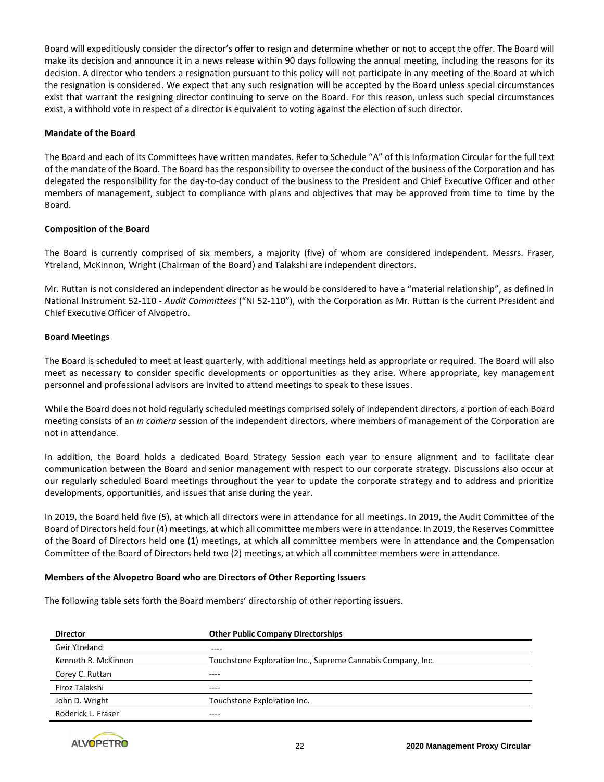Board will expeditiously consider the director's offer to resign and determine whether or not to accept the offer. The Board will make its decision and announce it in a news release within 90 days following the annual meeting, including the reasons for its decision. A director who tenders a resignation pursuant to this policy will not participate in any meeting of the Board at which the resignation is considered. We expect that any such resignation will be accepted by the Board unless special circumstances exist that warrant the resigning director continuing to serve on the Board. For this reason, unless such special circumstances exist, a withhold vote in respect of a director is equivalent to voting against the election of such director.

## **Mandate of the Board**

The Board and each of its Committees have written mandates. Refer to Schedule "A" of this Information Circular for the full text of the mandate of the Board. The Board has the responsibility to oversee the conduct of the business of the Corporation and has delegated the responsibility for the day-to-day conduct of the business to the President and Chief Executive Officer and other members of management, subject to compliance with plans and objectives that may be approved from time to time by the Board.

## **Composition of the Board**

The Board is currently comprised of six members, a majority (five) of whom are considered independent. Messrs. Fraser, Ytreland, McKinnon, Wright (Chairman of the Board) and Talakshi are independent directors.

Mr. Ruttan is not considered an independent director as he would be considered to have a "material relationship", as defined in National Instrument 52-110 - *Audit Committees* ("NI 52-110"), with the Corporation as Mr. Ruttan is the current President and Chief Executive Officer of Alvopetro.

## **Board Meetings**

The Board is scheduled to meet at least quarterly, with additional meetings held as appropriate or required. The Board will also meet as necessary to consider specific developments or opportunities as they arise. Where appropriate, key management personnel and professional advisors are invited to attend meetings to speak to these issues.

While the Board does not hold regularly scheduled meetings comprised solely of independent directors, a portion of each Board meeting consists of an *in camera* session of the independent directors, where members of management of the Corporation are not in attendance.

In addition, the Board holds a dedicated Board Strategy Session each year to ensure alignment and to facilitate clear communication between the Board and senior management with respect to our corporate strategy. Discussions also occur at our regularly scheduled Board meetings throughout the year to update the corporate strategy and to address and prioritize developments, opportunities, and issues that arise during the year.

In 2019, the Board held five (5), at which all directors were in attendance for all meetings. In 2019, the Audit Committee of the Board of Directors held four (4) meetings, at which all committee members were in attendance. In 2019, the Reserves Committee of the Board of Directors held one (1) meetings, at which all committee members were in attendance and the Compensation Committee of the Board of Directors held two (2) meetings, at which all committee members were in attendance.

#### **Members of the Alvopetro Board who are Directors of Other Reporting Issuers**

The following table sets forth the Board members' directorship of other reporting issuers.

| <b>Director</b>     | <b>Other Public Company Directorships</b>                   |
|---------------------|-------------------------------------------------------------|
| Geir Ytreland       | $---$                                                       |
| Kenneth R. McKinnon | Touchstone Exploration Inc., Supreme Cannabis Company, Inc. |
| Corey C. Ruttan     |                                                             |
| Firoz Talakshi      | ----                                                        |
| John D. Wright      | Touchstone Exploration Inc.                                 |
| Roderick L. Fraser  |                                                             |

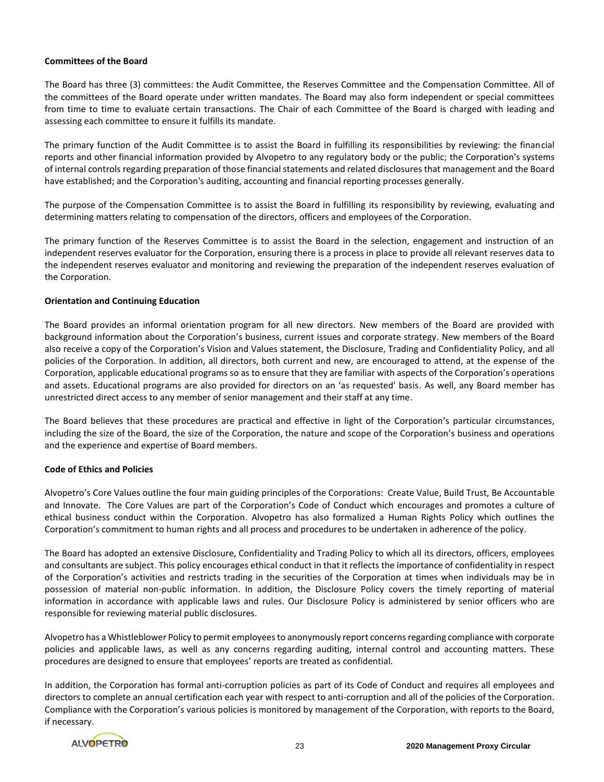#### **Committees of the Board**

The Board has three (3) committees: the Audit Committee, the Reserves Committee and the Compensation Committee. All of the committees of the Board operate under written mandates. The Board may also form independent or special committees from time to time to evaluate certain transactions. The Chair of each Committee of the Board is charged with leading and assessing each committee to ensure it fulfills its mandate.

The primary function of the Audit Committee is to assist the Board in fulfilling its responsibilities by reviewing: the financial reports and other financial information provided by Alvopetro to any regulatory body or the public; the Corporation's systems of internal controls regarding preparation of those financial statements and related disclosures that management and the Board have established; and the Corporation's auditing, accounting and financial reporting processes generally.

The purpose of the Compensation Committee is to assist the Board in fulfilling its responsibility by reviewing, evaluating and determining matters relating to compensation of the directors, officers and employees of the Corporation.

The primary function of the Reserves Committee is to assist the Board in the selection, engagement and instruction of an independent reserves evaluator for the Corporation, ensuring there is a process in place to provide all relevant reserves data to the independent reserves evaluator and monitoring and reviewing the preparation of the independent reserves evaluation of the Corporation.

## **Orientation and Continuing Education**

The Board provides an informal orientation program for all new directors. New members of the Board are provided with background information about the Corporation's business, current issues and corporate strategy. New members of the Board also receive a copy of the Corporation's Vision and Values statement, the Disclosure, Trading and Confidentiality Policy, and all policies of the Corporation. In addition, all directors, both current and new, are encouraged to attend, at the expense of the Corporation, applicable educational programs so as to ensure that they are familiar with aspects of the Corporation's operations and assets. Educational programs are also provided for directors on an 'as requested' basis. As well, any Board member has unrestricted direct access to any member of senior management and their staff at any time.

The Board believes that these procedures are practical and effective in light of the Corporation's particular circumstances, including the size of the Board, the size of the Corporation, the nature and scope of the Corporation's business and operations and the experience and expertise of Board members.

# **Code of Ethics and Policies**

Alvopetro's Core Values outline the four main guiding principles of the Corporations: Create Value, Build Trust, Be Accountable and Innovate. The Core Values are part of the Corporation's Code of Conduct which encourages and promotes a culture of ethical business conduct within the Corporation. Alvopetro has also formalized a Human Rights Policy which outlines the Corporation's commitment to human rights and all process and procedures to be undertaken in adherence of the policy.

The Board has adopted an extensive Disclosure, Confidentiality and Trading Policy to which all its directors, officers, employees and consultants are subject. This policy encourages ethical conduct in that it reflects the importance of confidentiality in respect of the Corporation's activities and restricts trading in the securities of the Corporation at times when individuals may be in possession of material non-public information. In addition, the Disclosure Policy covers the timely reporting of material information in accordance with applicable laws and rules. Our Disclosure Policy is administered by senior officers who are responsible for reviewing material public disclosures.

Alvopetro has a Whistleblower Policy to permit employees to anonymously report concerns regarding compliance with corporate policies and applicable laws, as well as any concerns regarding auditing, internal control and accounting matters. These procedures are designed to ensure that employees' reports are treated as confidential.

In addition, the Corporation has formal anti-corruption policies as part of its Code of Conduct and requires all employees and directors to complete an annual certification each year with respect to anti-corruption and all of the policies of the Corporation. Compliance with the Corporation's various policies is monitored by management of the Corporation, with reports to the Board, if necessary.

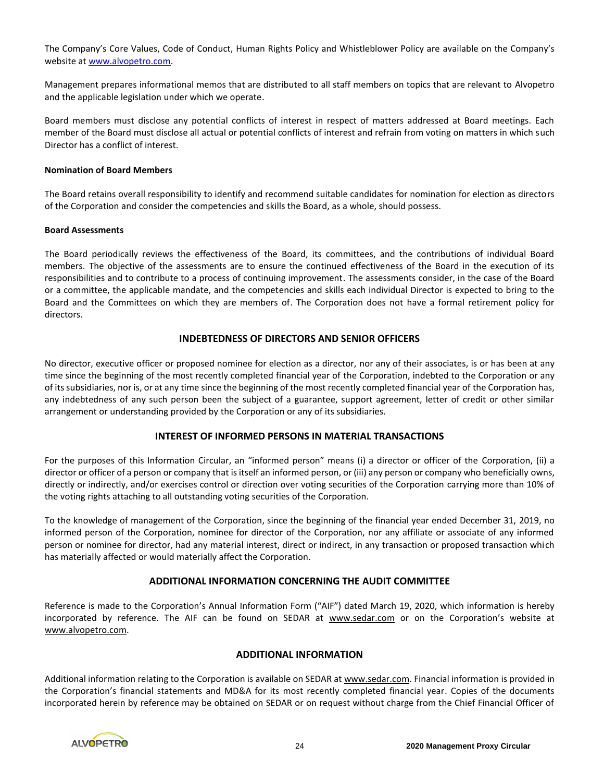The Company's Core Values, Code of Conduct, Human Rights Policy and Whistleblower Policy are available on the Company's website at [www.alvopetro.com.](http://www.alvopetro.com/)

Management prepares informational memos that are distributed to all staff members on topics that are relevant to Alvopetro and the applicable legislation under which we operate.

Board members must disclose any potential conflicts of interest in respect of matters addressed at Board meetings. Each member of the Board must disclose all actual or potential conflicts of interest and refrain from voting on matters in which such Director has a conflict of interest.

#### **Nomination of Board Members**

The Board retains overall responsibility to identify and recommend suitable candidates for nomination for election as directors of the Corporation and consider the competencies and skills the Board, as a whole, should possess.

## **Board Assessments**

The Board periodically reviews the effectiveness of the Board, its committees, and the contributions of individual Board members. The objective of the assessments are to ensure the continued effectiveness of the Board in the execution of its responsibilities and to contribute to a process of continuing improvement. The assessments consider, in the case of the Board or a committee, the applicable mandate, and the competencies and skills each individual Director is expected to bring to the Board and the Committees on which they are members of. The Corporation does not have a formal retirement policy for directors.

# **INDEBTEDNESS OF DIRECTORS AND SENIOR OFFICERS**

No director, executive officer or proposed nominee for election as a director, nor any of their associates, is or has been at any time since the beginning of the most recently completed financial year of the Corporation, indebted to the Corporation or any of its subsidiaries, nor is, or at any time since the beginning of the most recently completed financial year of the Corporation has, any indebtedness of any such person been the subject of a guarantee, support agreement, letter of credit or other similar arrangement or understanding provided by the Corporation or any of its subsidiaries.

# **INTEREST OF INFORMED PERSONS IN MATERIAL TRANSACTIONS**

For the purposes of this Information Circular, an "informed person" means (i) a director or officer of the Corporation, (ii) a director or officer of a person or company that is itself an informed person, or (iii) any person or company who beneficially owns, directly or indirectly, and/or exercises control or direction over voting securities of the Corporation carrying more than 10% of the voting rights attaching to all outstanding voting securities of the Corporation.

To the knowledge of management of the Corporation, since the beginning of the financial year ended December 31, 2019, no informed person of the Corporation, nominee for director of the Corporation, nor any affiliate or associate of any informed person or nominee for director, had any material interest, direct or indirect, in any transaction or proposed transaction which has materially affected or would materially affect the Corporation.

# **ADDITIONAL INFORMATION CONCERNING THE AUDIT COMMITTEE**

Reference is made to the Corporation's Annual Information Form ("AIF") dated March 19, 2020, which information is hereby incorporated by reference. The AIF can be found on SEDAR at www.sedar.com or on the Corporation's website at www.alvopetro.com.

# **ADDITIONAL INFORMATION**

Additional information relating to the Corporation is available on SEDAR at www.sedar.com. Financial information is provided in the Corporation's financial statements and MD&A for its most recently completed financial year. Copies of the documents incorporated herein by reference may be obtained on SEDAR or on request without charge from the Chief Financial Officer of

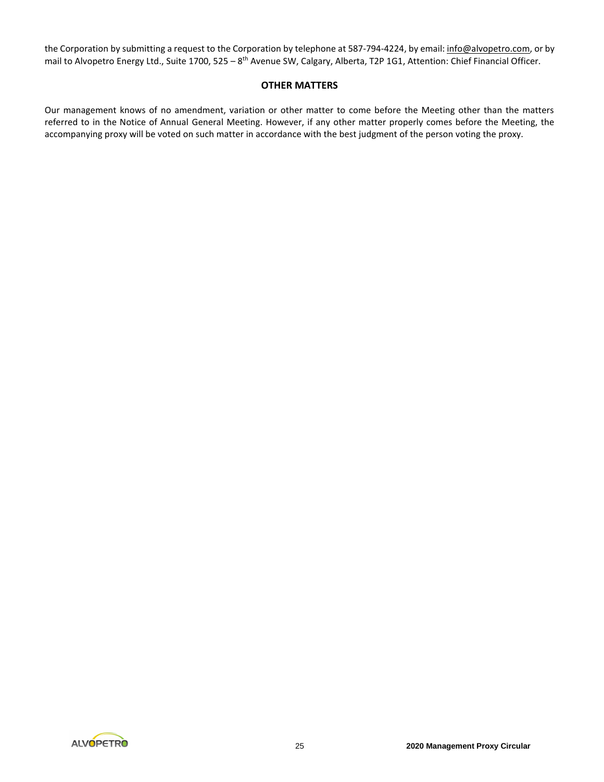the Corporation by submitting a request to the Corporation by telephone at 587-794-4224, by email: info@alvopetro.com, or by mail to Alvopetro Energy Ltd., Suite 1700, 525 – 8<sup>th</sup> Avenue SW, Calgary, Alberta, T2P 1G1, Attention: Chief Financial Officer.

# **OTHER MATTERS**

Our management knows of no amendment, variation or other matter to come before the Meeting other than the matters referred to in the Notice of Annual General Meeting. However, if any other matter properly comes before the Meeting, the accompanying proxy will be voted on such matter in accordance with the best judgment of the person voting the proxy.

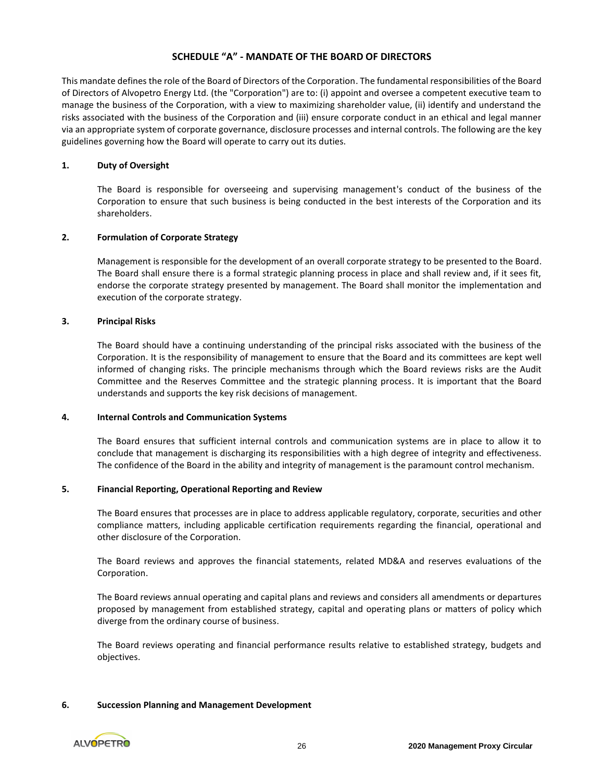# **SCHEDULE "A" - MANDATE OF THE BOARD OF DIRECTORS**

This mandate defines the role of the Board of Directors of the Corporation. The fundamental responsibilities of the Board of Directors of Alvopetro Energy Ltd. (the "Corporation") are to: (i) appoint and oversee a competent executive team to manage the business of the Corporation, with a view to maximizing shareholder value, (ii) identify and understand the risks associated with the business of the Corporation and (iii) ensure corporate conduct in an ethical and legal manner via an appropriate system of corporate governance, disclosure processes and internal controls. The following are the key guidelines governing how the Board will operate to carry out its duties.

## **1. Duty of Oversight**

The Board is responsible for overseeing and supervising management's conduct of the business of the Corporation to ensure that such business is being conducted in the best interests of the Corporation and its shareholders.

## **2. Formulation of Corporate Strategy**

Management is responsible for the development of an overall corporate strategy to be presented to the Board. The Board shall ensure there is a formal strategic planning process in place and shall review and, if it sees fit, endorse the corporate strategy presented by management. The Board shall monitor the implementation and execution of the corporate strategy.

## **3. Principal Risks**

The Board should have a continuing understanding of the principal risks associated with the business of the Corporation. It is the responsibility of management to ensure that the Board and its committees are kept well informed of changing risks. The principle mechanisms through which the Board reviews risks are the Audit Committee and the Reserves Committee and the strategic planning process. It is important that the Board understands and supports the key risk decisions of management.

#### **4. Internal Controls and Communication Systems**

The Board ensures that sufficient internal controls and communication systems are in place to allow it to conclude that management is discharging its responsibilities with a high degree of integrity and effectiveness. The confidence of the Board in the ability and integrity of management is the paramount control mechanism.

# **5. Financial Reporting, Operational Reporting and Review**

The Board ensures that processes are in place to address applicable regulatory, corporate, securities and other compliance matters, including applicable certification requirements regarding the financial, operational and other disclosure of the Corporation.

The Board reviews and approves the financial statements, related MD&A and reserves evaluations of the Corporation.

The Board reviews annual operating and capital plans and reviews and considers all amendments or departures proposed by management from established strategy, capital and operating plans or matters of policy which diverge from the ordinary course of business.

The Board reviews operating and financial performance results relative to established strategy, budgets and objectives.

#### **6. Succession Planning and Management Development**

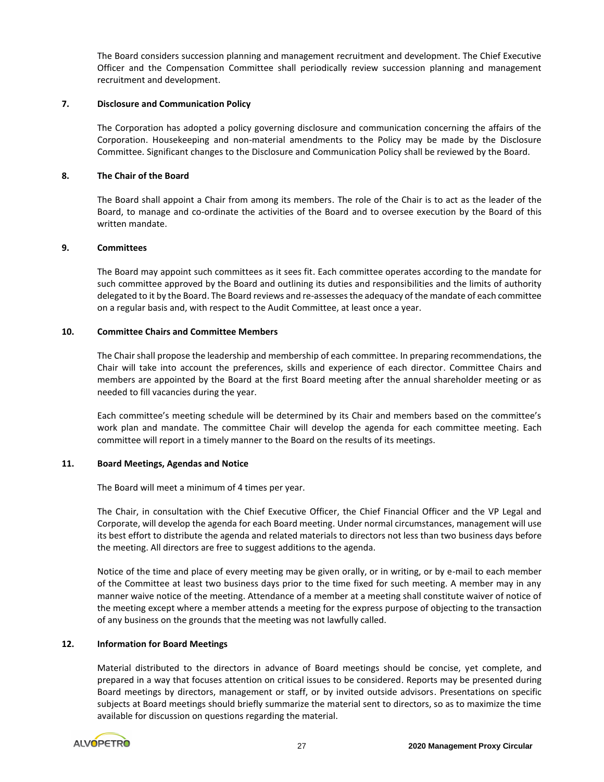The Board considers succession planning and management recruitment and development. The Chief Executive Officer and the Compensation Committee shall periodically review succession planning and management recruitment and development.

#### **7. Disclosure and Communication Policy**

The Corporation has adopted a policy governing disclosure and communication concerning the affairs of the Corporation. Housekeeping and non-material amendments to the Policy may be made by the Disclosure Committee. Significant changes to the Disclosure and Communication Policy shall be reviewed by the Board.

## **8. The Chair of the Board**

The Board shall appoint a Chair from among its members. The role of the Chair is to act as the leader of the Board, to manage and co-ordinate the activities of the Board and to oversee execution by the Board of this written mandate.

## **9. Committees**

The Board may appoint such committees as it sees fit. Each committee operates according to the mandate for such committee approved by the Board and outlining its duties and responsibilities and the limits of authority delegated to it by the Board. The Board reviews and re-assesses the adequacy of the mandate of each committee on a regular basis and, with respect to the Audit Committee, at least once a year.

# **10. Committee Chairs and Committee Members**

The Chair shall propose the leadership and membership of each committee. In preparing recommendations, the Chair will take into account the preferences, skills and experience of each director. Committee Chairs and members are appointed by the Board at the first Board meeting after the annual shareholder meeting or as needed to fill vacancies during the year.

Each committee's meeting schedule will be determined by its Chair and members based on the committee's work plan and mandate. The committee Chair will develop the agenda for each committee meeting. Each committee will report in a timely manner to the Board on the results of its meetings.

# **11. Board Meetings, Agendas and Notice**

The Board will meet a minimum of 4 times per year.

The Chair, in consultation with the Chief Executive Officer, the Chief Financial Officer and the VP Legal and Corporate, will develop the agenda for each Board meeting. Under normal circumstances, management will use its best effort to distribute the agenda and related materials to directors not less than two business days before the meeting. All directors are free to suggest additions to the agenda.

Notice of the time and place of every meeting may be given orally, or in writing, or by e-mail to each member of the Committee at least two business days prior to the time fixed for such meeting. A member may in any manner waive notice of the meeting. Attendance of a member at a meeting shall constitute waiver of notice of the meeting except where a member attends a meeting for the express purpose of objecting to the transaction of any business on the grounds that the meeting was not lawfully called.

# **12. Information for Board Meetings**

Material distributed to the directors in advance of Board meetings should be concise, yet complete, and prepared in a way that focuses attention on critical issues to be considered. Reports may be presented during Board meetings by directors, management or staff, or by invited outside advisors. Presentations on specific subjects at Board meetings should briefly summarize the material sent to directors, so as to maximize the time available for discussion on questions regarding the material.

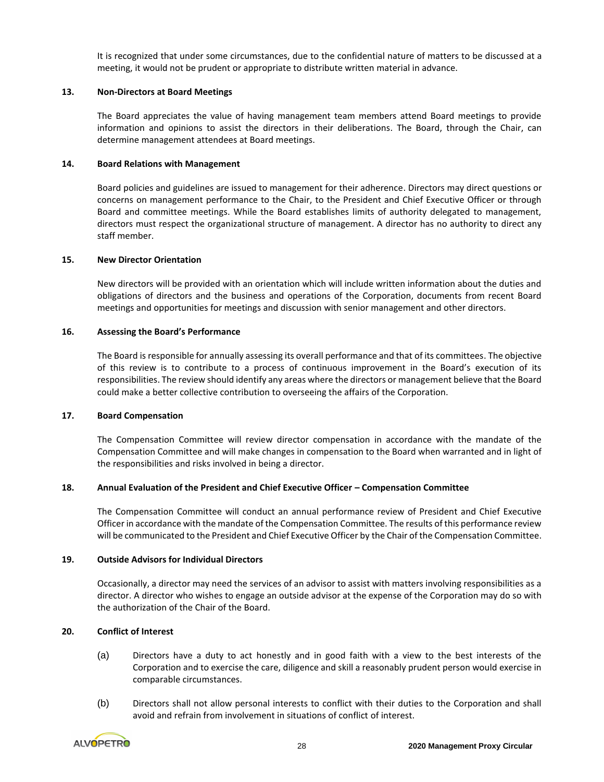It is recognized that under some circumstances, due to the confidential nature of matters to be discussed at a meeting, it would not be prudent or appropriate to distribute written material in advance.

# **13. Non-Directors at Board Meetings**

The Board appreciates the value of having management team members attend Board meetings to provide information and opinions to assist the directors in their deliberations. The Board, through the Chair, can determine management attendees at Board meetings.

#### **14. Board Relations with Management**

Board policies and guidelines are issued to management for their adherence. Directors may direct questions or concerns on management performance to the Chair, to the President and Chief Executive Officer or through Board and committee meetings. While the Board establishes limits of authority delegated to management, directors must respect the organizational structure of management. A director has no authority to direct any staff member.

## **15. New Director Orientation**

New directors will be provided with an orientation which will include written information about the duties and obligations of directors and the business and operations of the Corporation, documents from recent Board meetings and opportunities for meetings and discussion with senior management and other directors.

# **16. Assessing the Board's Performance**

The Board is responsible for annually assessing its overall performance and that of its committees. The objective of this review is to contribute to a process of continuous improvement in the Board's execution of its responsibilities. The review should identify any areas where the directors or management believe that the Board could make a better collective contribution to overseeing the affairs of the Corporation.

#### **17. Board Compensation**

The Compensation Committee will review director compensation in accordance with the mandate of the Compensation Committee and will make changes in compensation to the Board when warranted and in light of the responsibilities and risks involved in being a director.

# **18. Annual Evaluation of the President and Chief Executive Officer – Compensation Committee**

The Compensation Committee will conduct an annual performance review of President and Chief Executive Officer in accordance with the mandate of the Compensation Committee. The results of this performance review will be communicated to the President and Chief Executive Officer by the Chair of the Compensation Committee.

# **19. Outside Advisors for Individual Directors**

Occasionally, a director may need the services of an advisor to assist with matters involving responsibilities as a director. A director who wishes to engage an outside advisor at the expense of the Corporation may do so with the authorization of the Chair of the Board.

# **20. Conflict of Interest**

- (a) Directors have a duty to act honestly and in good faith with a view to the best interests of the Corporation and to exercise the care, diligence and skill a reasonably prudent person would exercise in comparable circumstances.
- (b) Directors shall not allow personal interests to conflict with their duties to the Corporation and shall avoid and refrain from involvement in situations of conflict of interest.

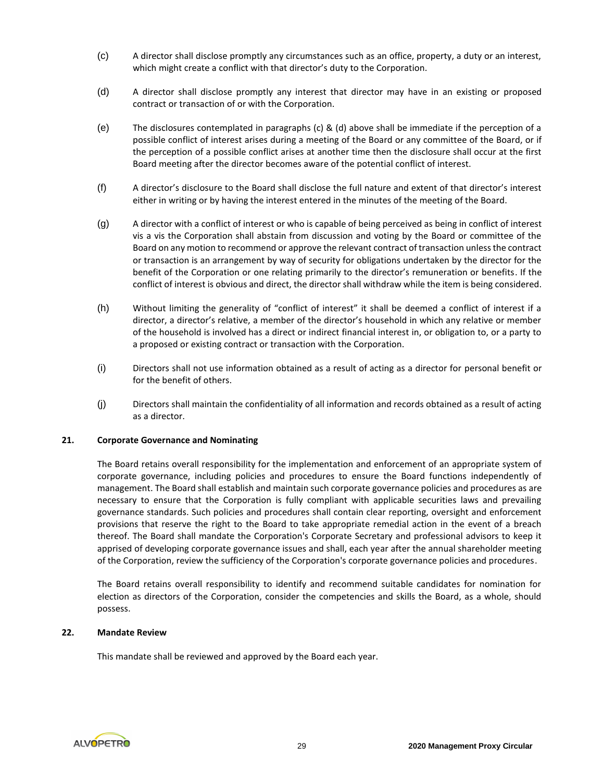- (c) A director shall disclose promptly any circumstances such as an office, property, a duty or an interest, which might create a conflict with that director's duty to the Corporation.
- (d) A director shall disclose promptly any interest that director may have in an existing or proposed contract or transaction of or with the Corporation.
- (e) The disclosures contemplated in paragraphs (c) & (d) above shall be immediate if the perception of a possible conflict of interest arises during a meeting of the Board or any committee of the Board, or if the perception of a possible conflict arises at another time then the disclosure shall occur at the first Board meeting after the director becomes aware of the potential conflict of interest.
- (f) A director's disclosure to the Board shall disclose the full nature and extent of that director's interest either in writing or by having the interest entered in the minutes of the meeting of the Board.
- (g) A director with a conflict of interest or who is capable of being perceived as being in conflict of interest vis a vis the Corporation shall abstain from discussion and voting by the Board or committee of the Board on any motion to recommend or approve the relevant contract of transaction unless the contract or transaction is an arrangement by way of security for obligations undertaken by the director for the benefit of the Corporation or one relating primarily to the director's remuneration or benefits. If the conflict of interest is obvious and direct, the director shall withdraw while the item is being considered.
- (h) Without limiting the generality of "conflict of interest" it shall be deemed a conflict of interest if a director, a director's relative, a member of the director's household in which any relative or member of the household is involved has a direct or indirect financial interest in, or obligation to, or a party to a proposed or existing contract or transaction with the Corporation.
- (i) Directors shall not use information obtained as a result of acting as a director for personal benefit or for the benefit of others.
- (j) Directors shall maintain the confidentiality of all information and records obtained as a result of acting as a director.

# **21. Corporate Governance and Nominating**

The Board retains overall responsibility for the implementation and enforcement of an appropriate system of corporate governance, including policies and procedures to ensure the Board functions independently of management. The Board shall establish and maintain such corporate governance policies and procedures as are necessary to ensure that the Corporation is fully compliant with applicable securities laws and prevailing governance standards. Such policies and procedures shall contain clear reporting, oversight and enforcement provisions that reserve the right to the Board to take appropriate remedial action in the event of a breach thereof. The Board shall mandate the Corporation's Corporate Secretary and professional advisors to keep it apprised of developing corporate governance issues and shall, each year after the annual shareholder meeting of the Corporation, review the sufficiency of the Corporation's corporate governance policies and procedures.

The Board retains overall responsibility to identify and recommend suitable candidates for nomination for election as directors of the Corporation, consider the competencies and skills the Board, as a whole, should possess.

#### **22. Mandate Review**

This mandate shall be reviewed and approved by the Board each year.

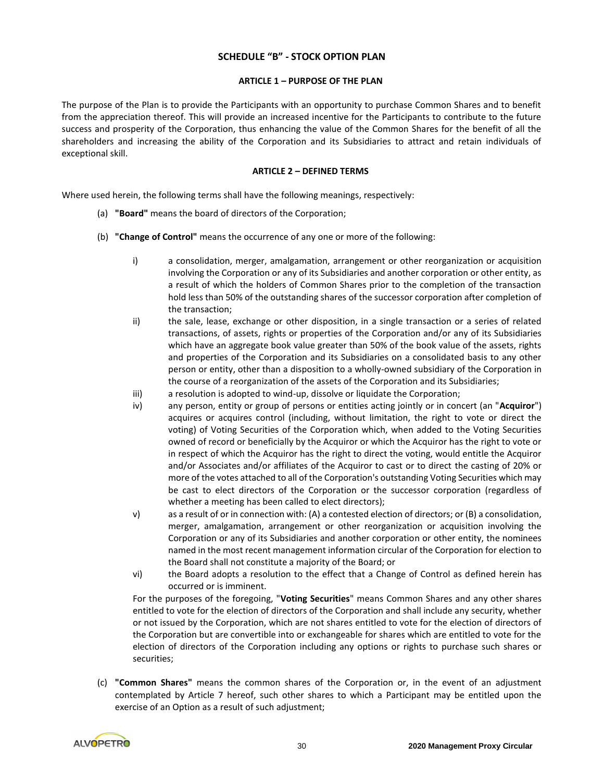# **SCHEDULE "B" - STOCK OPTION PLAN**

#### **ARTICLE 1 – PURPOSE OF THE PLAN**

The purpose of the Plan is to provide the Participants with an opportunity to purchase Common Shares and to benefit from the appreciation thereof. This will provide an increased incentive for the Participants to contribute to the future success and prosperity of the Corporation, thus enhancing the value of the Common Shares for the benefit of all the shareholders and increasing the ability of the Corporation and its Subsidiaries to attract and retain individuals of exceptional skill.

#### **ARTICLE 2 – DEFINED TERMS**

Where used herein, the following terms shall have the following meanings, respectively:

- (a) **"Board"** means the board of directors of the Corporation;
- (b) **"Change of Control"** means the occurrence of any one or more of the following:
	- i) a consolidation, merger, amalgamation, arrangement or other reorganization or acquisition involving the Corporation or any of its Subsidiaries and another corporation or other entity, as a result of which the holders of Common Shares prior to the completion of the transaction hold less than 50% of the outstanding shares of the successor corporation after completion of the transaction;
	- ii) the sale, lease, exchange or other disposition, in a single transaction or a series of related transactions, of assets, rights or properties of the Corporation and/or any of its Subsidiaries which have an aggregate book value greater than 50% of the book value of the assets, rights and properties of the Corporation and its Subsidiaries on a consolidated basis to any other person or entity, other than a disposition to a wholly-owned subsidiary of the Corporation in the course of a reorganization of the assets of the Corporation and its Subsidiaries;
	- iii) a resolution is adopted to wind-up, dissolve or liquidate the Corporation;
	- iv) any person, entity or group of persons or entities acting jointly or in concert (an "**Acquiror**") acquires or acquires control (including, without limitation, the right to vote or direct the voting) of Voting Securities of the Corporation which, when added to the Voting Securities owned of record or beneficially by the Acquiror or which the Acquiror has the right to vote or in respect of which the Acquiror has the right to direct the voting, would entitle the Acquiror and/or Associates and/or affiliates of the Acquiror to cast or to direct the casting of 20% or more of the votes attached to all of the Corporation's outstanding Voting Securities which may be cast to elect directors of the Corporation or the successor corporation (regardless of whether a meeting has been called to elect directors);
	- v) as a result of or in connection with: (A) a contested election of directors; or (B) a consolidation, merger, amalgamation, arrangement or other reorganization or acquisition involving the Corporation or any of its Subsidiaries and another corporation or other entity, the nominees named in the most recent management information circular of the Corporation for election to the Board shall not constitute a majority of the Board; or
	- vi) the Board adopts a resolution to the effect that a Change of Control as defined herein has occurred or is imminent.

For the purposes of the foregoing, "**Voting Securities**" means Common Shares and any other shares entitled to vote for the election of directors of the Corporation and shall include any security, whether or not issued by the Corporation, which are not shares entitled to vote for the election of directors of the Corporation but are convertible into or exchangeable for shares which are entitled to vote for the election of directors of the Corporation including any options or rights to purchase such shares or securities;

(c) **"Common Shares"** means the common shares of the Corporation or, in the event of an adjustment contemplated by Article 7 hereof, such other shares to which a Participant may be entitled upon the exercise of an Option as a result of such adjustment;

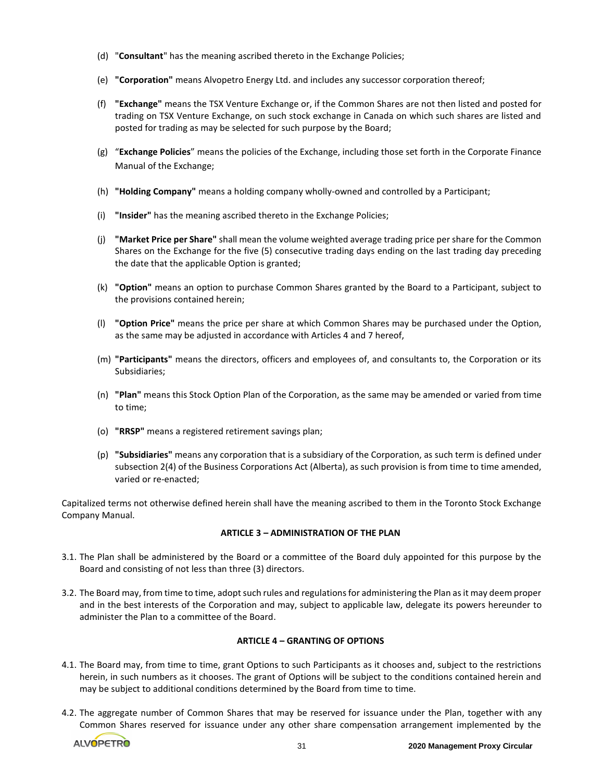- (d) "**Consultant**" has the meaning ascribed thereto in the Exchange Policies;
- (e) **"Corporation"** means Alvopetro Energy Ltd. and includes any successor corporation thereof;
- (f) **"Exchange"** means the TSX Venture Exchange or, if the Common Shares are not then listed and posted for trading on TSX Venture Exchange, on such stock exchange in Canada on which such shares are listed and posted for trading as may be selected for such purpose by the Board;
- (g) "**Exchange Policies**" means the policies of the Exchange, including those set forth in the Corporate Finance Manual of the Exchange;
- (h) **"Holding Company"** means a holding company wholly-owned and controlled by a Participant;
- (i) **"Insider"** has the meaning ascribed thereto in the Exchange Policies;
- (j) **"Market Price per Share"** shall mean the volume weighted average trading price per share for the Common Shares on the Exchange for the five (5) consecutive trading days ending on the last trading day preceding the date that the applicable Option is granted;
- (k) **"Option"** means an option to purchase Common Shares granted by the Board to a Participant, subject to the provisions contained herein;
- (l) **"Option Price"** means the price per share at which Common Shares may be purchased under the Option, as the same may be adjusted in accordance with Articles 4 and 7 hereof,
- (m) **"Participants"** means the directors, officers and employees of, and consultants to, the Corporation or its Subsidiaries;
- (n) **"Plan"** means this Stock Option Plan of the Corporation, as the same may be amended or varied from time to time;
- (o) **"RRSP"** means a registered retirement savings plan;
- (p) **"Subsidiaries"** means any corporation that is a subsidiary of the Corporation, as such term is defined under subsection 2(4) of the Business Corporations Act (Alberta), as such provision is from time to time amended, varied or re-enacted;

Capitalized terms not otherwise defined herein shall have the meaning ascribed to them in the Toronto Stock Exchange Company Manual.

## **ARTICLE 3 – ADMINISTRATION OF THE PLAN**

- 3.1. The Plan shall be administered by the Board or a committee of the Board duly appointed for this purpose by the Board and consisting of not less than three (3) directors.
- 3.2. The Board may, from time to time, adopt such rules and regulations for administering the Plan as it may deem proper and in the best interests of the Corporation and may, subject to applicable law, delegate its powers hereunder to administer the Plan to a committee of the Board.

#### **ARTICLE 4 – GRANTING OF OPTIONS**

- 4.1. The Board may, from time to time, grant Options to such Participants as it chooses and, subject to the restrictions herein, in such numbers as it chooses. The grant of Options will be subject to the conditions contained herein and may be subject to additional conditions determined by the Board from time to time.
- 4.2. The aggregate number of Common Shares that may be reserved for issuance under the Plan, together with any Common Shares reserved for issuance under any other share compensation arrangement implemented by the

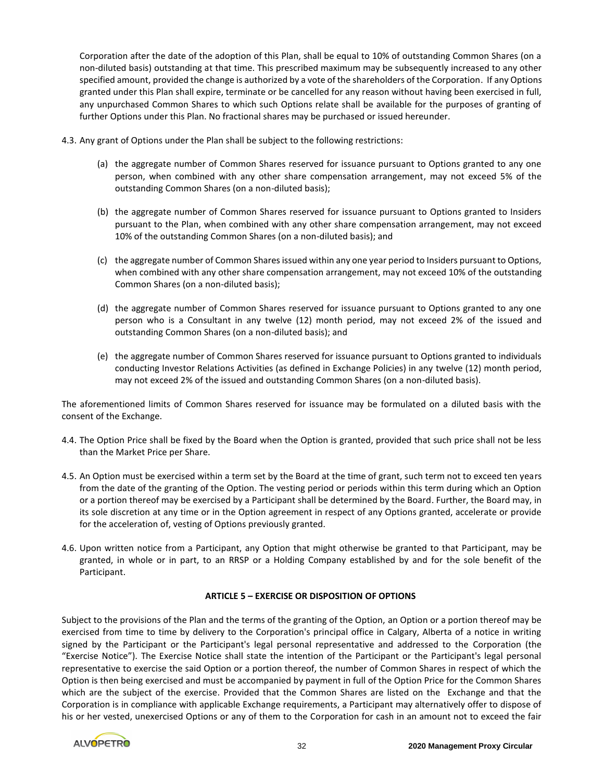Corporation after the date of the adoption of this Plan, shall be equal to 10% of outstanding Common Shares (on a non-diluted basis) outstanding at that time. This prescribed maximum may be subsequently increased to any other specified amount, provided the change is authorized by a vote of the shareholders of the Corporation. If any Options granted under this Plan shall expire, terminate or be cancelled for any reason without having been exercised in full, any unpurchased Common Shares to which such Options relate shall be available for the purposes of granting of further Options under this Plan. No fractional shares may be purchased or issued hereunder.

- 4.3. Any grant of Options under the Plan shall be subject to the following restrictions:
	- (a) the aggregate number of Common Shares reserved for issuance pursuant to Options granted to any one person, when combined with any other share compensation arrangement, may not exceed 5% of the outstanding Common Shares (on a non-diluted basis);
	- (b) the aggregate number of Common Shares reserved for issuance pursuant to Options granted to Insiders pursuant to the Plan, when combined with any other share compensation arrangement, may not exceed 10% of the outstanding Common Shares (on a non-diluted basis); and
	- (c) the aggregate number of Common Shares issued within any one year period to Insiders pursuant to Options, when combined with any other share compensation arrangement, may not exceed 10% of the outstanding Common Shares (on a non-diluted basis);
	- (d) the aggregate number of Common Shares reserved for issuance pursuant to Options granted to any one person who is a Consultant in any twelve (12) month period, may not exceed 2% of the issued and outstanding Common Shares (on a non-diluted basis); and
	- (e) the aggregate number of Common Shares reserved for issuance pursuant to Options granted to individuals conducting Investor Relations Activities (as defined in Exchange Policies) in any twelve (12) month period, may not exceed 2% of the issued and outstanding Common Shares (on a non-diluted basis).

The aforementioned limits of Common Shares reserved for issuance may be formulated on a diluted basis with the consent of the Exchange.

- 4.4. The Option Price shall be fixed by the Board when the Option is granted, provided that such price shall not be less than the Market Price per Share.
- 4.5. An Option must be exercised within a term set by the Board at the time of grant, such term not to exceed ten years from the date of the granting of the Option. The vesting period or periods within this term during which an Option or a portion thereof may be exercised by a Participant shall be determined by the Board. Further, the Board may, in its sole discretion at any time or in the Option agreement in respect of any Options granted, accelerate or provide for the acceleration of, vesting of Options previously granted.
- 4.6. Upon written notice from a Participant, any Option that might otherwise be granted to that Participant, may be granted, in whole or in part, to an RRSP or a Holding Company established by and for the sole benefit of the Participant.

# **ARTICLE 5 – EXERCISE OR DISPOSITION OF OPTIONS**

Subject to the provisions of the Plan and the terms of the granting of the Option, an Option or a portion thereof may be exercised from time to time by delivery to the Corporation's principal office in Calgary, Alberta of a notice in writing signed by the Participant or the Participant's legal personal representative and addressed to the Corporation (the "Exercise Notice"). The Exercise Notice shall state the intention of the Participant or the Participant's legal personal representative to exercise the said Option or a portion thereof, the number of Common Shares in respect of which the Option is then being exercised and must be accompanied by payment in full of the Option Price for the Common Shares which are the subject of the exercise. Provided that the Common Shares are listed on the Exchange and that the Corporation is in compliance with applicable Exchange requirements, a Participant may alternatively offer to dispose of his or her vested, unexercised Options or any of them to the Corporation for cash in an amount not to exceed the fair

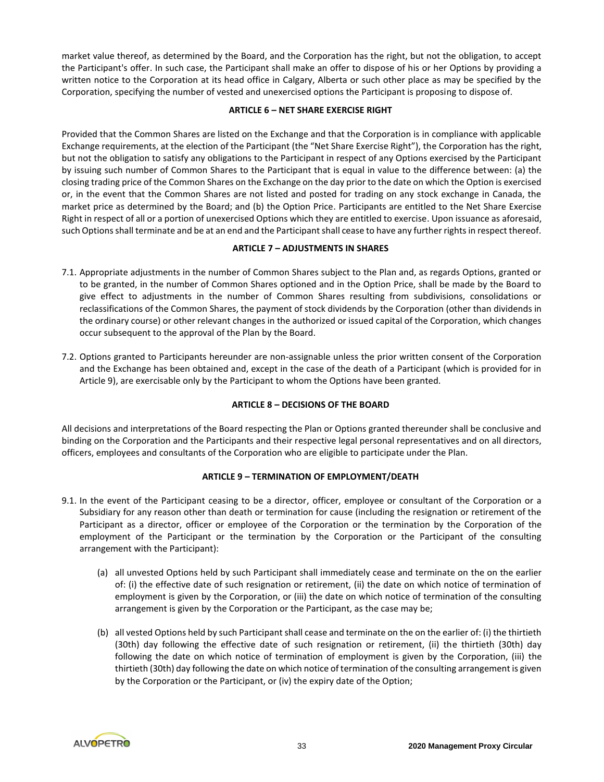market value thereof, as determined by the Board, and the Corporation has the right, but not the obligation, to accept the Participant's offer. In such case, the Participant shall make an offer to dispose of his or her Options by providing a written notice to the Corporation at its head office in Calgary, Alberta or such other place as may be specified by the Corporation, specifying the number of vested and unexercised options the Participant is proposing to dispose of.

# **ARTICLE 6 – NET SHARE EXERCISE RIGHT**

Provided that the Common Shares are listed on the Exchange and that the Corporation is in compliance with applicable Exchange requirements, at the election of the Participant (the "Net Share Exercise Right"), the Corporation has the right, but not the obligation to satisfy any obligations to the Participant in respect of any Options exercised by the Participant by issuing such number of Common Shares to the Participant that is equal in value to the difference between: (a) the closing trading price of the Common Shares on the Exchange on the day prior to the date on which the Option is exercised or, in the event that the Common Shares are not listed and posted for trading on any stock exchange in Canada, the market price as determined by the Board; and (b) the Option Price. Participants are entitled to the Net Share Exercise Right in respect of all or a portion of unexercised Options which they are entitled to exercise. Upon issuance as aforesaid, such Options shall terminate and be at an end and the Participant shall cease to have any further rights in respect thereof.

# **ARTICLE 7 – ADJUSTMENTS IN SHARES**

- 7.1. Appropriate adjustments in the number of Common Shares subject to the Plan and, as regards Options, granted or to be granted, in the number of Common Shares optioned and in the Option Price, shall be made by the Board to give effect to adjustments in the number of Common Shares resulting from subdivisions, consolidations or reclassifications of the Common Shares, the payment of stock dividends by the Corporation (other than dividends in the ordinary course) or other relevant changes in the authorized or issued capital of the Corporation, which changes occur subsequent to the approval of the Plan by the Board.
- 7.2. Options granted to Participants hereunder are non-assignable unless the prior written consent of the Corporation and the Exchange has been obtained and, except in the case of the death of a Participant (which is provided for in Article 9), are exercisable only by the Participant to whom the Options have been granted.

# **ARTICLE 8 – DECISIONS OF THE BOARD**

All decisions and interpretations of the Board respecting the Plan or Options granted thereunder shall be conclusive and binding on the Corporation and the Participants and their respective legal personal representatives and on all directors, officers, employees and consultants of the Corporation who are eligible to participate under the Plan.

# **ARTICLE 9 – TERMINATION OF EMPLOYMENT/DEATH**

- 9.1. In the event of the Participant ceasing to be a director, officer, employee or consultant of the Corporation or a Subsidiary for any reason other than death or termination for cause (including the resignation or retirement of the Participant as a director, officer or employee of the Corporation or the termination by the Corporation of the employment of the Participant or the termination by the Corporation or the Participant of the consulting arrangement with the Participant):
	- (a) all unvested Options held by such Participant shall immediately cease and terminate on the on the earlier of: (i) the effective date of such resignation or retirement, (ii) the date on which notice of termination of employment is given by the Corporation, or (iii) the date on which notice of termination of the consulting arrangement is given by the Corporation or the Participant, as the case may be;
	- (b) all vested Options held by such Participant shall cease and terminate on the on the earlier of: (i) the thirtieth (30th) day following the effective date of such resignation or retirement, (ii) the thirtieth (30th) day following the date on which notice of termination of employment is given by the Corporation, (iii) the thirtieth (30th) day following the date on which notice of termination of the consulting arrangement is given by the Corporation or the Participant, or (iv) the expiry date of the Option;

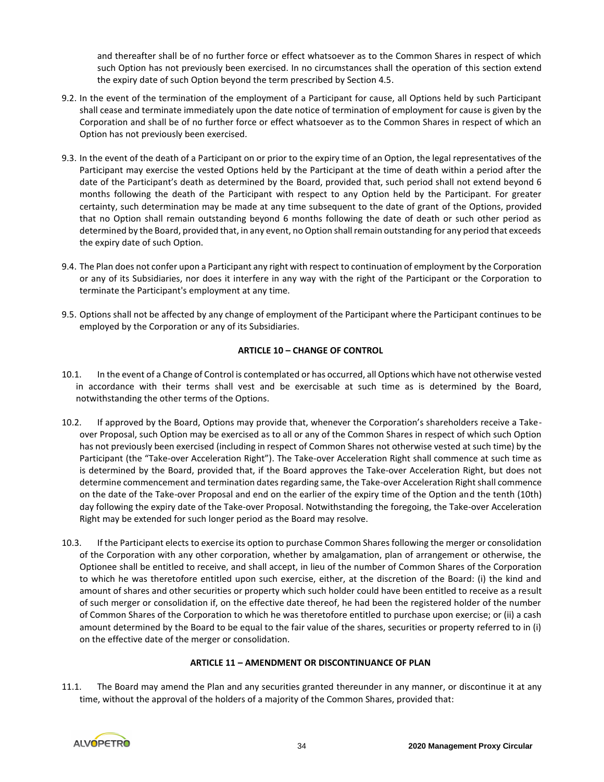and thereafter shall be of no further force or effect whatsoever as to the Common Shares in respect of which such Option has not previously been exercised. In no circumstances shall the operation of this section extend the expiry date of such Option beyond the term prescribed by Section 4.5.

- 9.2. In the event of the termination of the employment of a Participant for cause, all Options held by such Participant shall cease and terminate immediately upon the date notice of termination of employment for cause is given by the Corporation and shall be of no further force or effect whatsoever as to the Common Shares in respect of which an Option has not previously been exercised.
- 9.3. In the event of the death of a Participant on or prior to the expiry time of an Option, the legal representatives of the Participant may exercise the vested Options held by the Participant at the time of death within a period after the date of the Participant's death as determined by the Board, provided that, such period shall not extend beyond 6 months following the death of the Participant with respect to any Option held by the Participant. For greater certainty, such determination may be made at any time subsequent to the date of grant of the Options, provided that no Option shall remain outstanding beyond 6 months following the date of death or such other period as determined by the Board, provided that, in any event, no Option shall remain outstanding for any period that exceeds the expiry date of such Option.
- 9.4. The Plan does not confer upon a Participant any right with respect to continuation of employment by the Corporation or any of its Subsidiaries, nor does it interfere in any way with the right of the Participant or the Corporation to terminate the Participant's employment at any time.
- 9.5. Options shall not be affected by any change of employment of the Participant where the Participant continues to be employed by the Corporation or any of its Subsidiaries.

# **ARTICLE 10 – CHANGE OF CONTROL**

- 10.1. In the event of a Change of Control is contemplated or has occurred, all Options which have not otherwise vested in accordance with their terms shall vest and be exercisable at such time as is determined by the Board, notwithstanding the other terms of the Options.
- 10.2. If approved by the Board, Options may provide that, whenever the Corporation's shareholders receive a Takeover Proposal, such Option may be exercised as to all or any of the Common Shares in respect of which such Option has not previously been exercised (including in respect of Common Shares not otherwise vested at such time) by the Participant (the "Take-over Acceleration Right"). The Take-over Acceleration Right shall commence at such time as is determined by the Board, provided that, if the Board approves the Take-over Acceleration Right, but does not determine commencement and termination dates regarding same, the Take-over Acceleration Right shall commence on the date of the Take-over Proposal and end on the earlier of the expiry time of the Option and the tenth (10th) day following the expiry date of the Take-over Proposal. Notwithstanding the foregoing, the Take-over Acceleration Right may be extended for such longer period as the Board may resolve.
- 10.3. If the Participant elects to exercise its option to purchase Common Shares following the merger or consolidation of the Corporation with any other corporation, whether by amalgamation, plan of arrangement or otherwise, the Optionee shall be entitled to receive, and shall accept, in lieu of the number of Common Shares of the Corporation to which he was theretofore entitled upon such exercise, either, at the discretion of the Board: (i) the kind and amount of shares and other securities or property which such holder could have been entitled to receive as a result of such merger or consolidation if, on the effective date thereof, he had been the registered holder of the number of Common Shares of the Corporation to which he was theretofore entitled to purchase upon exercise; or (ii) a cash amount determined by the Board to be equal to the fair value of the shares, securities or property referred to in (i) on the effective date of the merger or consolidation.

# **ARTICLE 11 – AMENDMENT OR DISCONTINUANCE OF PLAN**

11.1. The Board may amend the Plan and any securities granted thereunder in any manner, or discontinue it at any time, without the approval of the holders of a majority of the Common Shares, provided that:

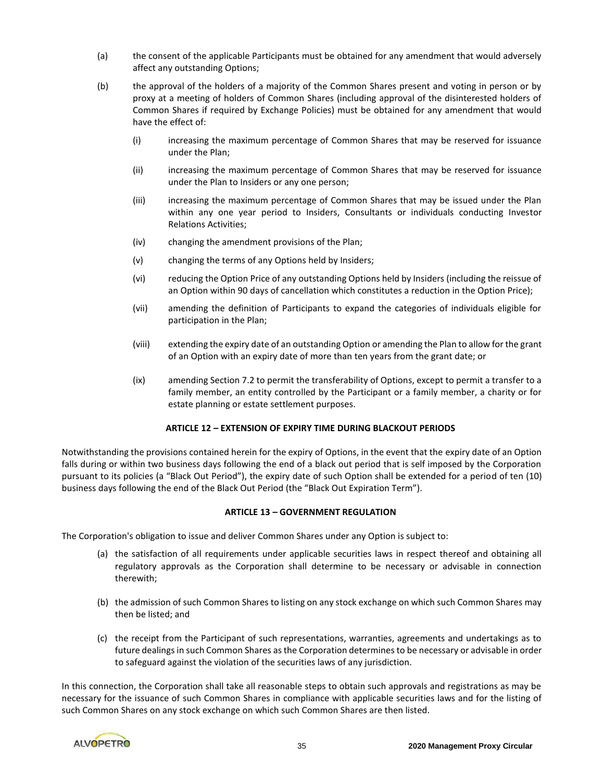- (a) the consent of the applicable Participants must be obtained for any amendment that would adversely affect any outstanding Options;
- (b) the approval of the holders of a majority of the Common Shares present and voting in person or by proxy at a meeting of holders of Common Shares (including approval of the disinterested holders of Common Shares if required by Exchange Policies) must be obtained for any amendment that would have the effect of:
	- (i) increasing the maximum percentage of Common Shares that may be reserved for issuance under the Plan;
	- (ii) increasing the maximum percentage of Common Shares that may be reserved for issuance under the Plan to Insiders or any one person;
	- (iii) increasing the maximum percentage of Common Shares that may be issued under the Plan within any one year period to Insiders, Consultants or individuals conducting Investor Relations Activities;
	- (iv) changing the amendment provisions of the Plan;
	- (v) changing the terms of any Options held by Insiders;
	- (vi) reducing the Option Price of any outstanding Options held by Insiders (including the reissue of an Option within 90 days of cancellation which constitutes a reduction in the Option Price);
	- (vii) amending the definition of Participants to expand the categories of individuals eligible for participation in the Plan;
	- (viii) extending the expiry date of an outstanding Option or amending the Plan to allow for the grant of an Option with an expiry date of more than ten years from the grant date; or
	- (ix) amending Section 7.2 to permit the transferability of Options, except to permit a transfer to a family member, an entity controlled by the Participant or a family member, a charity or for estate planning or estate settlement purposes.

# **ARTICLE 12 – EXTENSION OF EXPIRY TIME DURING BLACKOUT PERIODS**

Notwithstanding the provisions contained herein for the expiry of Options, in the event that the expiry date of an Option falls during or within two business days following the end of a black out period that is self imposed by the Corporation pursuant to its policies (a "Black Out Period"), the expiry date of such Option shall be extended for a period of ten (10) business days following the end of the Black Out Period (the "Black Out Expiration Term").

# **ARTICLE 13 – GOVERNMENT REGULATION**

The Corporation's obligation to issue and deliver Common Shares under any Option is subject to:

- (a) the satisfaction of all requirements under applicable securities laws in respect thereof and obtaining all regulatory approvals as the Corporation shall determine to be necessary or advisable in connection therewith;
- (b) the admission of such Common Shares to listing on any stock exchange on which such Common Shares may then be listed; and
- (c) the receipt from the Participant of such representations, warranties, agreements and undertakings as to future dealings in such Common Shares as the Corporation determines to be necessary or advisable in order to safeguard against the violation of the securities laws of any jurisdiction.

In this connection, the Corporation shall take all reasonable steps to obtain such approvals and registrations as may be necessary for the issuance of such Common Shares in compliance with applicable securities laws and for the listing of such Common Shares on any stock exchange on which such Common Shares are then listed.

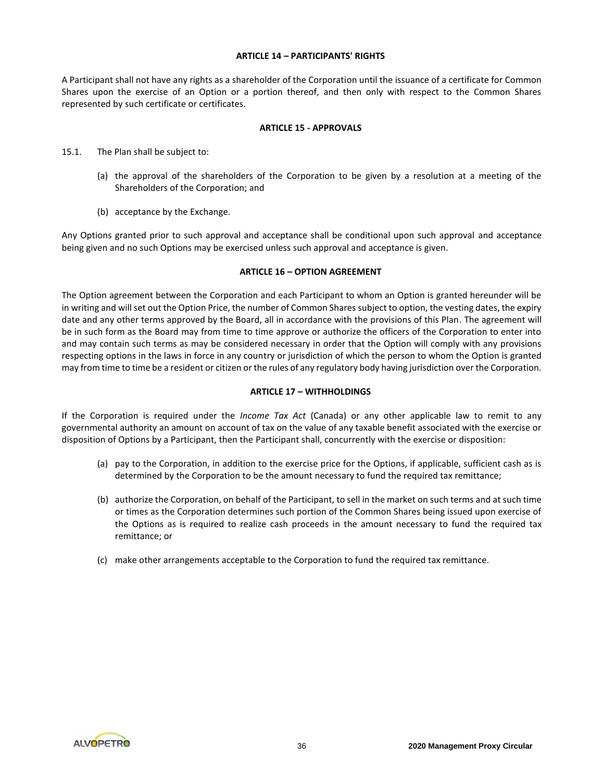## **ARTICLE 14 – PARTICIPANTS' RIGHTS**

A Participant shall not have any rights as a shareholder of the Corporation until the issuance of a certificate for Common Shares upon the exercise of an Option or a portion thereof, and then only with respect to the Common Shares represented by such certificate or certificates.

#### **ARTICLE 15 - APPROVALS**

- 15.1. The Plan shall be subject to:
	- (a) the approval of the shareholders of the Corporation to be given by a resolution at a meeting of the Shareholders of the Corporation; and
	- (b) acceptance by the Exchange.

Any Options granted prior to such approval and acceptance shall be conditional upon such approval and acceptance being given and no such Options may be exercised unless such approval and acceptance is given.

## **ARTICLE 16 – OPTION AGREEMENT**

The Option agreement between the Corporation and each Participant to whom an Option is granted hereunder will be in writing and will set out the Option Price, the number of Common Shares subject to option, the vesting dates, the expiry date and any other terms approved by the Board, all in accordance with the provisions of this Plan. The agreement will be in such form as the Board may from time to time approve or authorize the officers of the Corporation to enter into and may contain such terms as may be considered necessary in order that the Option will comply with any provisions respecting options in the laws in force in any country or jurisdiction of which the person to whom the Option is granted may from time to time be a resident or citizen or the rules of any regulatory body having jurisdiction over the Corporation.

# **ARTICLE 17 – WITHHOLDINGS**

If the Corporation is required under the *Income Tax Act* (Canada) or any other applicable law to remit to any governmental authority an amount on account of tax on the value of any taxable benefit associated with the exercise or disposition of Options by a Participant, then the Participant shall, concurrently with the exercise or disposition:

- (a) pay to the Corporation, in addition to the exercise price for the Options, if applicable, sufficient cash as is determined by the Corporation to be the amount necessary to fund the required tax remittance;
- (b) authorize the Corporation, on behalf of the Participant, to sell in the market on such terms and at such time or times as the Corporation determines such portion of the Common Shares being issued upon exercise of the Options as is required to realize cash proceeds in the amount necessary to fund the required tax remittance; or
- (c) make other arrangements acceptable to the Corporation to fund the required tax remittance.